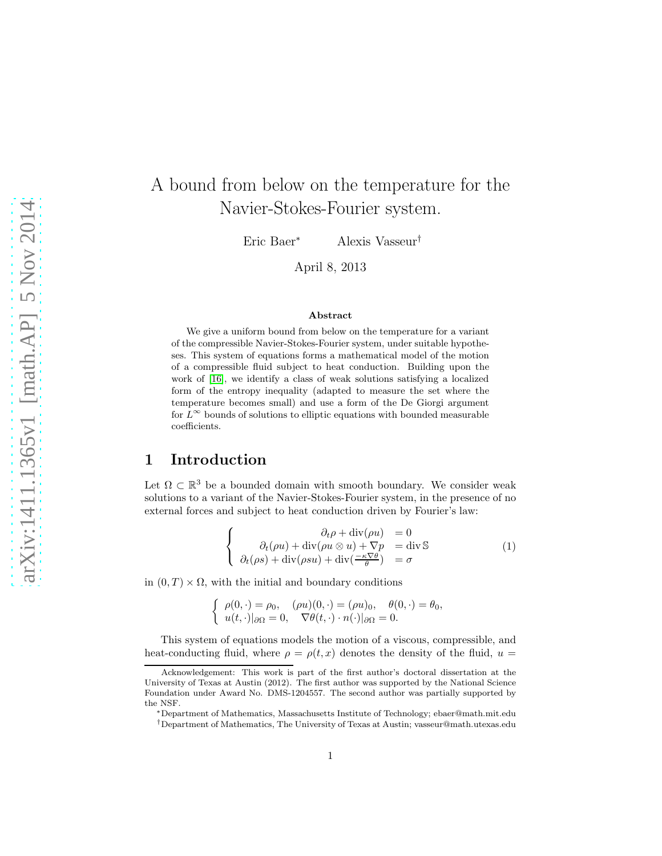# A bound from below on the temperature for the Navier-Stokes-Fourier system.

Eric Baer<sup>∗</sup> Alexis Vasseur†

April 8, 2013

#### Abstract

We give a uniform bound from below on the temperature for a variant of the compressible Navier-Stokes-Fourier system, under suitable hypotheses. This system of equations forms a mathematical model of the motion of a compressible fluid subject to heat conduction. Building upon the work of [\[16\]](#page-21-0), we identify a class of weak solutions satisfying a localized form of the entropy inequality (adapted to measure the set where the temperature becomes small) and use a form of the De Giorgi argument for  $L^{\infty}$  bounds of solutions to elliptic equations with bounded measurable coefficients.

### 1 Introduction

Let  $\Omega \subset \mathbb{R}^3$  be a bounded domain with smooth boundary. We consider weak solutions to a variant of the Navier-Stokes-Fourier system, in the presence of no external forces and subject to heat conduction driven by Fourier's law:

<span id="page-0-0"></span>
$$
\begin{cases}\n\partial_t \rho + \operatorname{div}(\rho u) = 0 \\
\partial_t (\rho u) + \operatorname{div}(\rho u \otimes u) + \nabla p = \operatorname{div} \mathbb{S} \\
\partial_t (\rho s) + \operatorname{div}(\rho s u) + \operatorname{div}(\frac{-\kappa \nabla \theta}{\theta}) = \sigma\n\end{cases}
$$
\n(1)

in  $(0, T) \times \Omega$ , with the initial and boundary conditions

$$
\begin{cases}\n\rho(0,\cdot) = \rho_0, & (\rho u)(0,\cdot) = (\rho u)_0, \quad \theta(0,\cdot) = \theta_0, \\
u(t,\cdot)|_{\partial\Omega} = 0, & \nabla\theta(t,\cdot)\cdot n(\cdot)|_{\partial\Omega} = 0.\n\end{cases}
$$

This system of equations models the motion of a viscous, compressible, and heat-conducting fluid, where  $\rho = \rho(t, x)$  denotes the density of the fluid,  $u =$ 

Acknowledgement: This work is part of the first author's doctoral dissertation at the University of Texas at Austin (2012). The first author was supported by the National Science Foundation under Award No. DMS-1204557. The second author was partially supported by the NSF.

<sup>∗</sup>Department of Mathematics, Massachusetts Institute of Technology; ebaer@math.mit.edu

<sup>†</sup>Department of Mathematics, The University of Texas at Austin; vasseur@math.utexas.edu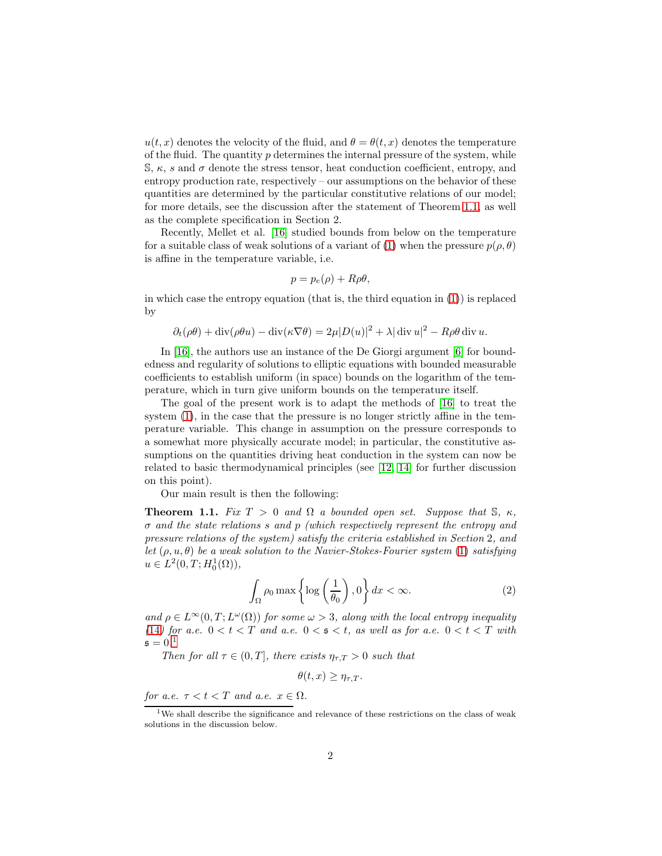$u(t, x)$  denotes the velocity of the fluid, and  $\theta = \theta(t, x)$  denotes the temperature of the fluid. The quantity  $p$  determines the internal pressure of the system, while S,  $\kappa$ , s and  $\sigma$  denote the stress tensor, heat conduction coefficient, entropy, and entropy production rate, respectively – our assumptions on the behavior of these quantities are determined by the particular constitutive relations of our model; for more details, see the discussion after the statement of Theorem [1](#page-1-0).1, as well as the complete specification in Section 2.

Recently, Mellet et al. [\[16\]](#page-21-0) studied bounds from below on the temperature for a suitable class of weak solutions of a variant of [\(1\)](#page-0-0) when the pressure  $p(\rho, \theta)$ is affine in the temperature variable, i.e.

$$
p = p_e(\rho) + R\rho\theta,
$$

in which case the entropy equation (that is, the third equation in  $(1)$ ) is replaced by

$$
\partial_t(\rho\theta) + \operatorname{div}(\rho\theta u) - \operatorname{div}(\kappa \nabla \theta) = 2\mu |D(u)|^2 + \lambda |\operatorname{div} u|^2 - R\rho\theta \operatorname{div} u.
$$

In [\[16\]](#page-21-0), the authors use an instance of the De Giorgi argument [\[6\]](#page-20-0) for boundedness and regularity of solutions to elliptic equations with bounded measurable coefficients to establish uniform (in space) bounds on the logarithm of the temperature, which in turn give uniform bounds on the temperature itself.

The goal of the present work is to adapt the methods of [\[16\]](#page-21-0) to treat the system [\(1\)](#page-0-0), in the case that the pressure is no longer strictly affine in the temperature variable. This change in assumption on the pressure corresponds to a somewhat more physically accurate model; in particular, the constitutive assumptions on the quantities driving heat conduction in the system can now be related to basic thermodynamical principles (see [\[12,](#page-20-1) [14\]](#page-21-1) for further discussion on this point).

Our main result is then the following:

<span id="page-1-0"></span>**Theorem 1.1.** Fix  $T > 0$  and  $\Omega$  a bounded open set. Suppose that S,  $\kappa$ . σ and the state relations s and p (which respectively represent the entropy and pressure relations of the system) satisfy the criteria established in Section 2, and let  $(\rho, u, \theta)$  be a weak solution to the Navier-Stokes-Fourier system [\(1\)](#page-0-0) satisfying  $u \in L^2(0,T;H_0^1(\Omega)),$ 

$$
\int_{\Omega} \rho_0 \max \left\{ \log \left( \frac{1}{\theta_0} \right), 0 \right\} dx < \infty. \tag{2}
$$

and  $\rho \in L^{\infty}(0,T; L^{\omega}(\Omega))$  for some  $\omega > 3$ , along with the local entropy inequality ([14](#page-7-0)) for a.e.  $0 < t < T$  and a.e.  $0 < s < t$ , as well as for a.e.  $0 < t < T$  with  $\mathfrak{s} = 0.1$  $\mathfrak{s} = 0.1$ 

Then for all  $\tau \in (0, T]$ , there exists  $\eta_{\tau,T} > 0$  such that

<span id="page-1-2"></span>
$$
\theta(t,x) \geq \eta_{\tau,T}.
$$

for a.e.  $\tau < t < T$  and a.e.  $x \in \Omega$ .

<span id="page-1-1"></span><sup>&</sup>lt;sup>1</sup>We shall describe the significance and relevance of these restrictions on the class of weak solutions in the discussion below.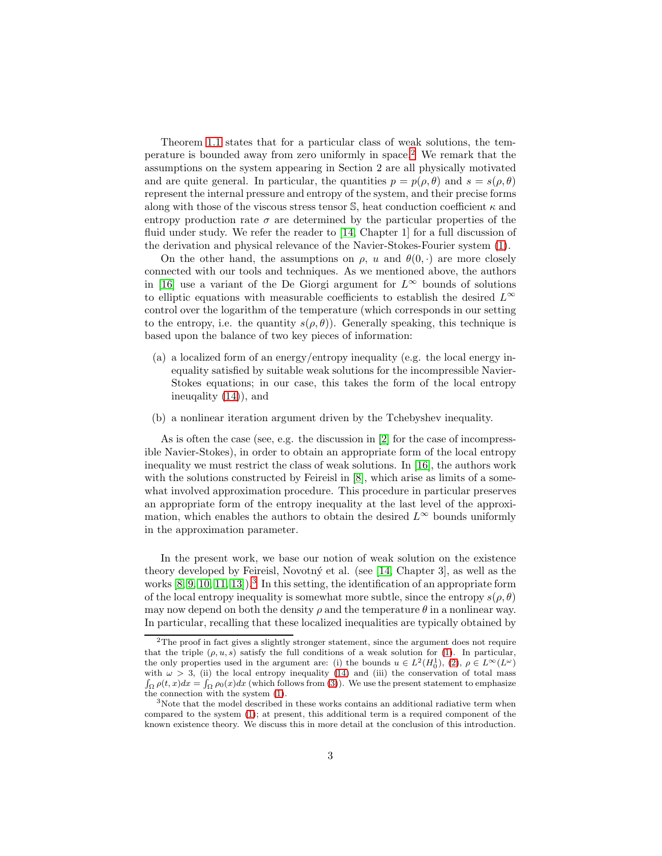Theorem [1](#page-1-0).1 states that for a particular class of weak solutions, the temperature is bounded away from zero uniformly in space.[2](#page-2-0) We remark that the assumptions on the system appearing in Section 2 are all physically motivated and are quite general. In particular, the quantities  $p = p(\rho, \theta)$  and  $s = s(\rho, \theta)$ represent the internal pressure and entropy of the system, and their precise forms along with those of the viscous stress tensor  $\mathbb{S}$ , heat conduction coefficient  $\kappa$  and entropy production rate  $\sigma$  are determined by the particular properties of the fluid under study. We refer the reader to [\[14,](#page-21-1) Chapter 1] for a full discussion of the derivation and physical relevance of the Navier-Stokes-Fourier system [\(1\)](#page-0-0).

On the other hand, the assumptions on  $\rho$ , u and  $\theta(0, \cdot)$  are more closely connected with our tools and techniques. As we mentioned above, the authors in [\[16\]](#page-21-0) use a variant of the De Giorgi argument for  $L^{\infty}$  bounds of solutions to elliptic equations with measurable coefficients to establish the desired  $L^{\infty}$ control over the logarithm of the temperature (which corresponds in our setting to the entropy, i.e. the quantity  $s(\rho, \theta)$ ). Generally speaking, this technique is based upon the balance of two key pieces of information:

- (a) a localized form of an energy/entropy inequality (e.g. the local energy inequality satisfied by suitable weak solutions for the incompressible Navier-Stokes equations; in our case, this takes the form of the local entropy ineuqality [\(14\)](#page-7-0)), and
- (b) a nonlinear iteration argument driven by the Tchebyshev inequality.

As is often the case (see, e.g. the discussion in [\[2\]](#page-20-2) for the case of incompressible Navier-Stokes), in order to obtain an appropriate form of the local entropy inequality we must restrict the class of weak solutions. In [\[16\]](#page-21-0), the authors work with the solutions constructed by Feireisl in  $[8]$ , which arise as limits of a somewhat involved approximation procedure. This procedure in particular preserves an appropriate form of the entropy inequality at the last level of the approximation, which enables the authors to obtain the desired  $L^{\infty}$  bounds uniformly in the approximation parameter.

In the present work, we base our notion of weak solution on the existence theory developed by Feireisl, Novotný et al. (see [\[14,](#page-21-1) Chapter 3], as well as the works  $[8, 9, 10, 11, 13]$  $[8, 9, 10, 11, 13]$  $[8, 9, 10, 11, 13]$  $[8, 9, 10, 11, 13]$  $[8, 9, 10, 11, 13]$ .<sup>[3](#page-2-1)</sup> In this setting, the identification of an appropriate form of the local entropy inequality is somewhat more subtle, since the entropy  $s(\rho, \theta)$ may now depend on both the density  $\rho$  and the temperature  $\theta$  in a nonlinear way. In particular, recalling that these localized inequalities are typically obtained by

<span id="page-2-0"></span><sup>&</sup>lt;sup>2</sup>The proof in fact gives a slightly stronger statement, since the argument does not require that the triple  $(\rho, u, s)$  satisfy the full conditions of a weak solution for [\(1\)](#page-0-0). In particular, the only properties used in the argument are: (i) the bounds  $u \in L^2(H_0^1), (2), \rho \in L^{\infty}(L^{\omega})$  $u \in L^2(H_0^1), (2), \rho \in L^{\infty}(L^{\omega})$  $u \in L^2(H_0^1), (2), \rho \in L^{\infty}(L^{\omega})$ with  $\omega > 3$ , (ii) the local entropy inequality [\(14\)](#page-7-0) and (iii) the conservation of total mass  $\int_{\Omega} \rho(t, x) dx = \int_{\Omega} \rho_0(x) dx$  (which follows from [\(3\)](#page-3-0)). We use the present statement to emphasize the connection with the system [\(1\)](#page-0-0).

<span id="page-2-1"></span><sup>&</sup>lt;sup>3</sup>Note that the model described in these works contains an additional radiative term when compared to the system [\(1\)](#page-0-0); at present, this additional term is a required component of the known existence theory. We discuss this in more detail at the conclusion of this introduction.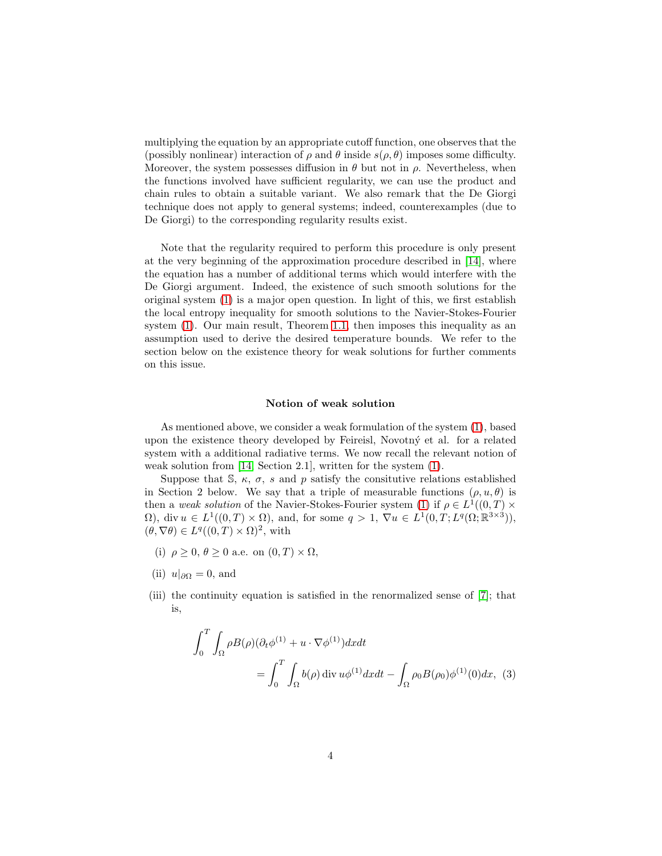multiplying the equation by an appropriate cutoff function, one observes that the (possibly nonlinear) interaction of  $\rho$  and  $\theta$  inside  $s(\rho, \theta)$  imposes some difficulty. Moreover, the system possesses diffusion in  $\theta$  but not in  $\rho$ . Nevertheless, when the functions involved have sufficient regularity, we can use the product and chain rules to obtain a suitable variant. We also remark that the De Giorgi technique does not apply to general systems; indeed, counterexamples (due to De Giorgi) to the corresponding regularity results exist.

Note that the regularity required to perform this procedure is only present at the very beginning of the approximation procedure described in [\[14\]](#page-21-1), where the equation has a number of additional terms which would interfere with the De Giorgi argument. Indeed, the existence of such smooth solutions for the original system [\(1\)](#page-0-0) is a major open question. In light of this, we first establish the local entropy inequality for smooth solutions to the Navier-Stokes-Fourier system [\(1\)](#page-0-0). Our main result, Theorem 1.[1,](#page-1-0) then imposes this inequality as an assumption used to derive the desired temperature bounds. We refer to the section below on the existence theory for weak solutions for further comments on this issue.

#### Notion of weak solution

As mentioned above, we consider a weak formulation of the system [\(1\)](#page-0-0), based upon the existence theory developed by Feireisl, Novotný et al. for a related system with a additional radiative terms. We now recall the relevant notion of weak solution from [\[14,](#page-21-1) Section 2.1], written for the system [\(1\)](#page-0-0).

Suppose that S,  $\kappa$ ,  $\sigma$ , s and p satisfy the consitutive relations established in Section 2 below. We say that a triple of measurable functions  $(\rho, u, \theta)$  is then a weak solution of the Navier-Stokes-Fourier system [\(1\)](#page-0-0) if  $\rho \in L^1((0,T) \times$  $\Omega$ , div  $u \in L^1((0,T) \times \Omega)$ , and, for some  $q > 1$ ,  $\nabla u \in L^1(0,T;L^q(\Omega;\mathbb{R}^{3\times 3}))$ ,  $(\theta, \nabla \theta) \in L^q((0,T) \times \Omega)^2$ , with

- (i)  $\rho \geq 0$ ,  $\theta \geq 0$  a.e. on  $(0, T) \times \Omega$ ,
- (ii)  $u|_{\partial\Omega} = 0$ , and
- (iii) the continuity equation is satisfied in the renormalized sense of [\[7\]](#page-20-8); that is,

<span id="page-3-0"></span>
$$
\int_0^T \int_{\Omega} \rho B(\rho) (\partial_t \phi^{(1)} + u \cdot \nabla \phi^{(1)}) dx dt
$$
  
= 
$$
\int_0^T \int_{\Omega} b(\rho) \operatorname{div} u \phi^{(1)} dx dt - \int_{\Omega} \rho_0 B(\rho_0) \phi^{(1)}(0) dx, (3)
$$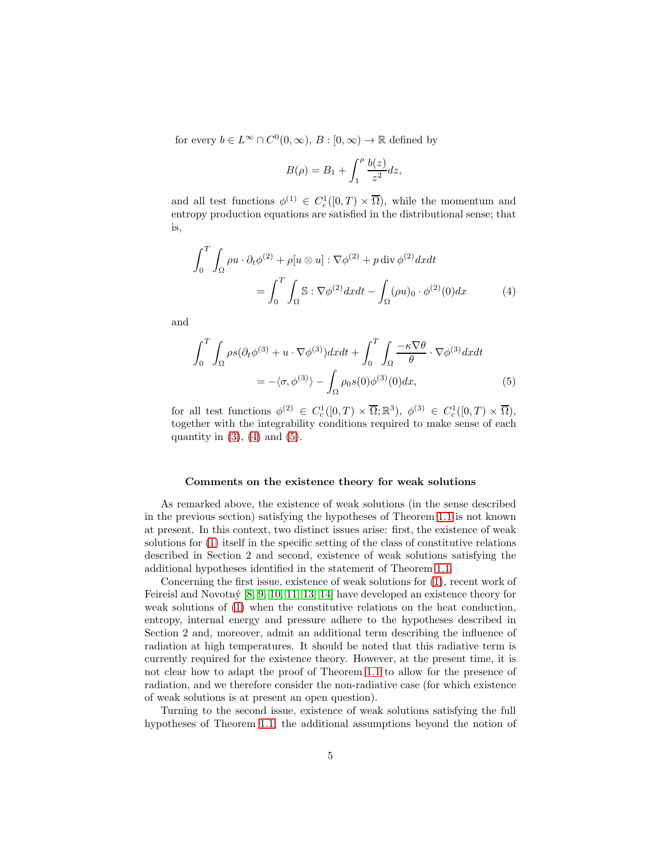for every  $b \in L^{\infty} \cap C^{0}(0, \infty), B : [0, \infty) \to \mathbb{R}$  defined by

<span id="page-4-1"></span><span id="page-4-0"></span>
$$
B(\rho) = B_1 + \int_1^{\rho} \frac{b(z)}{z^2} dz,
$$

and all test functions  $\phi^{(1)} \in C_c^1([0,T) \times \overline{\Omega})$ , while the momentum and entropy production equations are satisfied in the distributional sense; that is,

$$
\int_0^T \int_{\Omega} \rho u \cdot \partial_t \phi^{(2)} + \rho [u \otimes u] : \nabla \phi^{(2)} + p \operatorname{div} \phi^{(2)} dx dt
$$

$$
= \int_0^T \int_{\Omega} \mathbb{S} : \nabla \phi^{(2)} dx dt - \int_{\Omega} (\rho u)_0 \cdot \phi^{(2)}(0) dx \tag{4}
$$

and

$$
\int_{0}^{T} \int_{\Omega} \rho s (\partial_{t} \phi^{(3)} + u \cdot \nabla \phi^{(3)}) dx dt + \int_{0}^{T} \int_{\Omega} \frac{-\kappa \nabla \theta}{\theta} \cdot \nabla \phi^{(3)} dx dt
$$

$$
= -\langle \sigma, \phi^{(3)} \rangle - \int_{\Omega} \rho_{0} s(0) \phi^{(3)}(0) dx, \tag{5}
$$

for all test functions  $\phi^{(2)} \in C_c^1([0,T) \times \overline{\Omega}; \mathbb{R}^3)$ ,  $\phi^{(3)} \in C_c^1([0,T) \times \overline{\Omega})$ , together with the integrability conditions required to make sense of each quantity in  $(3)$ ,  $(4)$  and  $(5)$ .

#### Comments on the existence theory for weak solutions

As remarked above, the existence of weak solutions (in the sense described in the previous section) satisfying the hypotheses of Theorem [1](#page-1-0).1 is not known at present. In this context, two distinct issues arise: first, the existence of weak solutions for [\(1\)](#page-0-0) itself in the specific setting of the class of constitutive relations described in Section 2 and second, existence of weak solutions satisfying the additional hypotheses identified in the statement of Theorem 1.[1.](#page-1-0)

Concerning the first issue, existence of weak solutions for [\(1\)](#page-0-0), recent work of Feireisl and Novotný  $[8, 9, 10, 11, 13, 14]$  $[8, 9, 10, 11, 13, 14]$  $[8, 9, 10, 11, 13, 14]$  $[8, 9, 10, 11, 13, 14]$  $[8, 9, 10, 11, 13, 14]$  $[8, 9, 10, 11, 13, 14]$  have developed an existence theory for weak solutions of [\(1\)](#page-0-0) when the constitutive relations on the heat conduction, entropy, internal energy and pressure adhere to the hypotheses described in Section 2 and, moreover, admit an additional term describing the influence of radiation at high temperatures. It should be noted that this radiative term is currently required for the existence theory. However, at the present time, it is not clear how to adapt the proof of Theorem [1](#page-1-0).1 to allow for the presence of radiation, and we therefore consider the non-radiative case (for which existence of weak solutions is at present an open question).

Turning to the second issue, existence of weak solutions satisfying the full hypotheses of Theorem 1.[1,](#page-1-0) the additional assumptions beyond the notion of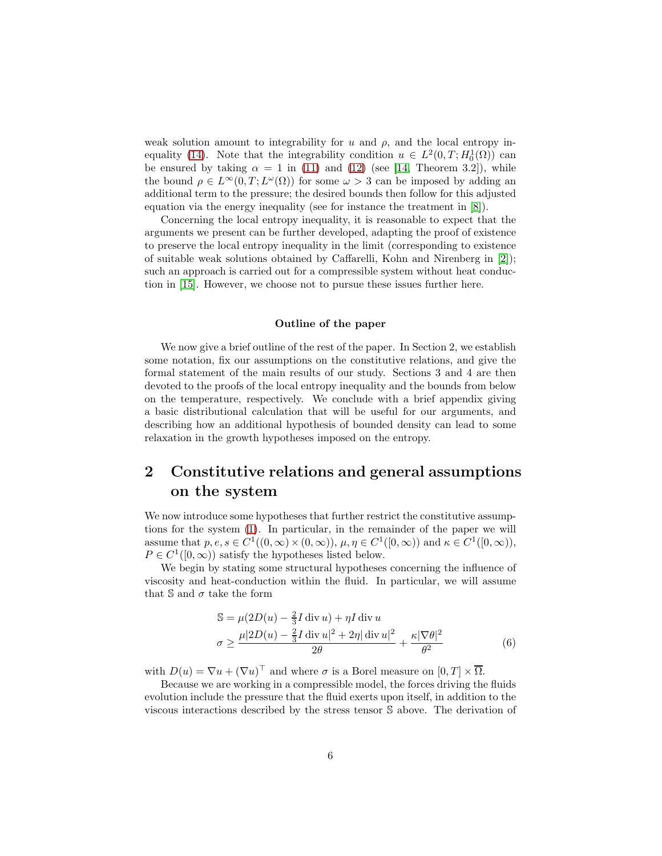weak solution amount to integrability for  $u$  and  $\rho$ , and the local entropy in-equality [\(14\)](#page-7-0). Note that the integrability condition  $u \in L^2(0,T;H_0^1(\Omega))$  can be ensured by taking  $\alpha = 1$  in [\(11\)](#page-6-0) and [\(12\)](#page-6-1) (see [\[14,](#page-21-1) Theorem 3.2]), while the bound  $\rho \in L^{\infty}(0,T; L^{\omega}(\Omega))$  for some  $\omega > 3$  can be imposed by adding an additional term to the pressure; the desired bounds then follow for this adjusted equation via the energy inequality (see for instance the treatment in [\[8\]](#page-20-3)).

Concerning the local entropy inequality, it is reasonable to expect that the arguments we present can be further developed, adapting the proof of existence to preserve the local entropy inequality in the limit (corresponding to existence of suitable weak solutions obtained by Caffarelli, Kohn and Nirenberg in [\[2\]](#page-20-2)); such an approach is carried out for a compressible system without heat conduction in [\[15\]](#page-21-2). However, we choose not to pursue these issues further here.

#### Outline of the paper

We now give a brief outline of the rest of the paper. In Section 2, we establish some notation, fix our assumptions on the constitutive relations, and give the formal statement of the main results of our study. Sections 3 and 4 are then devoted to the proofs of the local entropy inequality and the bounds from below on the temperature, respectively. We conclude with a brief appendix giving a basic distributional calculation that will be useful for our arguments, and describing how an additional hypothesis of bounded density can lead to some relaxation in the growth hypotheses imposed on the entropy.

## <span id="page-5-1"></span>2 Constitutive relations and general assumptions on the system

We now introduce some hypotheses that further restrict the constitutive assumptions for the system [\(1\)](#page-0-0). In particular, in the remainder of the paper we will assume that  $p, e, s \in C^1((0, \infty) \times (0, \infty))$ ,  $\mu, \eta \in C^1([0, \infty))$  and  $\kappa \in C^1([0, \infty))$ ,  $P \in C^1([0,\infty))$  satisfy the hypotheses listed below.

We begin by stating some structural hypotheses concerning the influence of viscosity and heat-conduction within the fluid. In particular, we will assume that  $\mathbb S$  and  $\sigma$  take the form

<span id="page-5-0"></span>
$$
\mathbb{S} = \mu(2D(u) - \frac{2}{3}I \operatorname{div} u) + \eta I \operatorname{div} u
$$

$$
\sigma \ge \frac{\mu|2D(u) - \frac{2}{3}I \operatorname{div} u|^2 + 2\eta |\operatorname{div} u|^2}{2\theta} + \frac{\kappa|\nabla\theta|^2}{\theta^2}
$$
(6)

with  $D(u) = \nabla u + (\nabla u)^{\top}$  and where  $\sigma$  is a Borel measure on  $[0, T] \times \overline{\Omega}$ .

Because we are working in a compressible model, the forces driving the fluids evolution include the pressure that the fluid exerts upon itself, in addition to the viscous interactions described by the stress tensor S above. The derivation of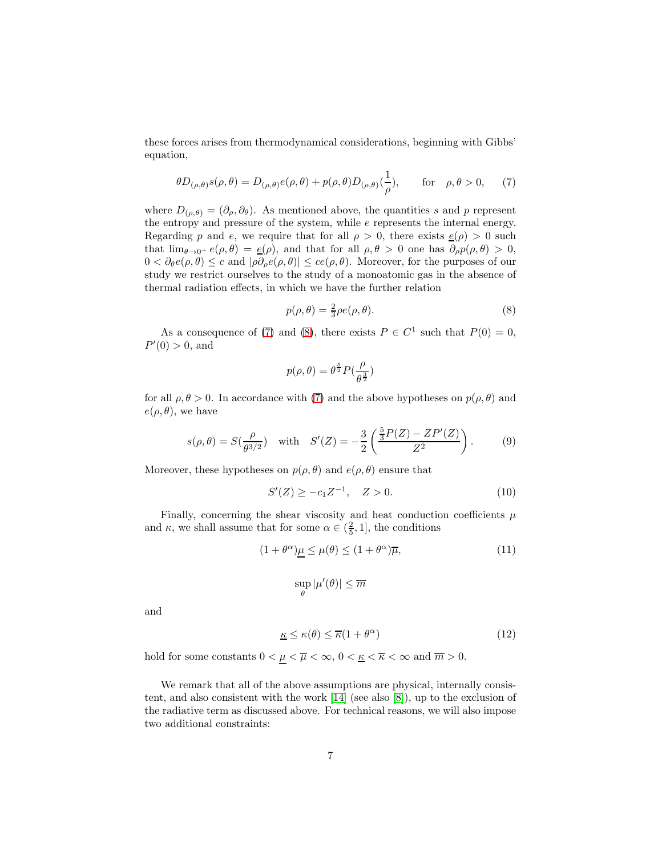these forces arises from thermodynamical considerations, beginning with Gibbs' equation,

$$
\theta D_{(\rho,\theta)}s(\rho,\theta) = D_{(\rho,\theta)}e(\rho,\theta) + p(\rho,\theta)D_{(\rho,\theta)}(\frac{1}{\rho}), \quad \text{for} \quad \rho,\theta > 0,
$$
 (7)

where  $D_{(\rho,\theta)} = (\partial_{\rho}, \partial_{\theta})$ . As mentioned above, the quantities s and p represent the entropy and pressure of the system, while  $e$  represents the internal energy. Regarding p and e, we require that for all  $\rho > 0$ , there exists  $g(\rho) > 0$  such that  $\lim_{\theta\to 0^+} e(\rho,\theta) = \underline{e}(\rho)$ , and that for all  $\rho, \theta > 0$  one has  $\partial_\rho p(\rho,\theta) > 0$ ,  $0 < \partial_{\theta}e(\rho,\theta) \leq c$  and  $|\rho \partial_{\rho}e(\rho,\theta)| \leq ce(\rho,\theta)$ . Moreover, for the purposes of our study we restrict ourselves to the study of a monoatomic gas in the absence of thermal radiation effects, in which we have the further relation

<span id="page-6-3"></span><span id="page-6-2"></span>
$$
p(\rho,\theta) = \frac{2}{3}\rho e(\rho,\theta). \tag{8}
$$

As a consequence of [\(7\)](#page-6-2) and [\(8\)](#page-6-3), there exists  $P \in C^1$  such that  $P(0) = 0$ ,  $P'(0) > 0$ , and

<span id="page-6-4"></span>
$$
p(\rho,\theta)=\theta^{\frac{5}{2}}P(\frac{\rho}{\theta^{\frac{3}{2}}})
$$

for all  $\rho, \theta > 0$ . In accordance with [\(7\)](#page-6-2) and the above hypotheses on  $p(\rho, \theta)$  and  $e(\rho, \theta)$ , we have

$$
s(\rho, \theta) = S(\frac{\rho}{\theta^{3/2}}) \quad \text{with} \quad S'(Z) = -\frac{3}{2} \left( \frac{\frac{5}{3} P(Z) - ZP'(Z)}{Z^2} \right). \tag{9}
$$

Moreover, these hypotheses on  $p(\rho, \theta)$  and  $e(\rho, \theta)$  ensure that

$$
S'(Z) \ge -c_1 Z^{-1}, \quad Z > 0. \tag{10}
$$

Finally, concerning the shear viscosity and heat conduction coefficients  $\mu$ and  $\kappa$ , we shall assume that for some  $\alpha \in (\frac{2}{5}, 1]$ , the conditions

$$
(1 + \theta^{\alpha})\mu \le \mu(\theta) \le (1 + \theta^{\alpha})\overline{\mu},\tag{11}
$$

<span id="page-6-5"></span><span id="page-6-1"></span><span id="page-6-0"></span>
$$
\sup_\theta |\mu'(\theta)| \leq \overline{m}
$$

and

$$
\underline{\kappa} \le \kappa(\theta) \le \overline{\kappa}(1 + \theta^{\alpha}) \tag{12}
$$

hold for some constants  $0<\underline{\mu}<\overline{\mu}<\infty,$   $0<\underline{\kappa}<\overline{\kappa}<\infty$  and  $\overline{m}>0.$ 

We remark that all of the above assumptions are physical, internally consistent, and also consistent with the work [\[14\]](#page-21-1) (see also [\[8\]](#page-20-3)), up to the exclusion of the radiative term as discussed above. For technical reasons, we will also impose two additional constraints: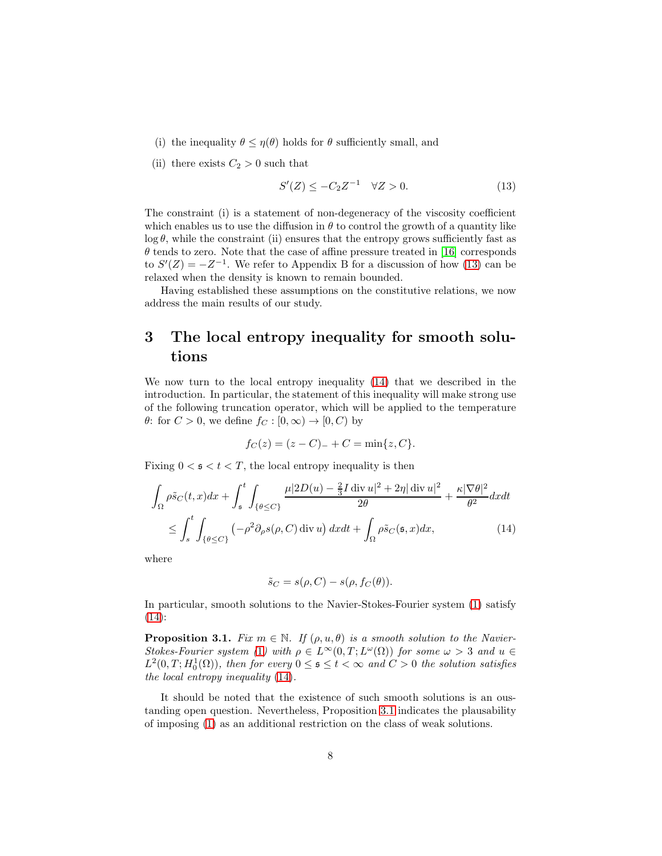- (i) the inequality  $\theta \leq \eta(\theta)$  holds for  $\theta$  sufficiently small, and
- (ii) there exists  $C_2 > 0$  such that

<span id="page-7-1"></span>
$$
S'(Z) \le -C_2 Z^{-1} \quad \forall Z > 0. \tag{13}
$$

The constraint (i) is a statement of non-degeneracy of the viscosity coefficient which enables us to use the diffusion in  $\theta$  to control the growth of a quantity like  $\log \theta$ , while the constraint (ii) ensures that the entropy grows sufficiently fast as  $\theta$  tends to zero. Note that the case of affine pressure treated in [\[16\]](#page-21-0) corresponds to  $S'(Z) = -Z^{-1}$ . We refer to Appendix B for a discussion of how [\(13\)](#page-7-1) can be relaxed when the density is known to remain bounded.

Having established these assumptions on the constitutive relations, we now address the main results of our study.

## 3 The local entropy inequality for smooth solutions

We now turn to the local entropy inequality [\(14\)](#page-7-0) that we described in the introduction. In particular, the statement of this inequality will make strong use of the following truncation operator, which will be applied to the temperature  $\theta$ : for  $C > 0$ , we define  $f_C : [0, \infty) \to [0, C)$  by

$$
f_C(z) = (z - C)_{-} + C = \min\{z, C\}.
$$

Fixing  $0 \lt s \lt t \lt T$ , the local entropy inequality is then

$$
\int_{\Omega} \rho \tilde{s}_C(t, x) dx + \int_{\mathfrak{s}}^t \int_{\{\theta \le C\}} \frac{\mu |2D(u) - \frac{2}{3} I \operatorname{div} u|^2 + 2\eta |\operatorname{div} u|^2}{2\theta} + \frac{\kappa |\nabla \theta|^2}{\theta^2} dx dt
$$

$$
\le \int_{s}^t \int_{\{\theta \le C\}} (-\rho^2 \partial_\rho s(\rho, C) \operatorname{div} u) dx dt + \int_{\Omega} \rho \tilde{s}_C(\mathfrak{s}, x) dx, \tag{14}
$$

where

<span id="page-7-0"></span>
$$
\tilde{s}_C = s(\rho, C) - s(\rho, f_C(\theta)).
$$

In particular, smooth solutions to the Navier-Stokes-Fourier system [\(1\)](#page-0-0) satisfy [\(14\)](#page-7-0):

<span id="page-7-2"></span>**Proposition 3.1.** Fix  $m \in \mathbb{N}$ . If  $(\rho, u, \theta)$  is a smooth solution to the Navier-Stokes-Fourier system ([1](#page-0-0)) with  $\rho \in L^{\infty}(0,T; L^{\omega}(\Omega))$  for some  $\omega > 3$  and  $u \in$  $L^2(0,T; H_0^1(\Omega))$ , then for every  $0 \leq s \leq t < \infty$  and  $C > 0$  the solution satisfies the local entropy inequality [\(14\)](#page-7-0).

It should be noted that the existence of such smooth solutions is an oustanding open question. Nevertheless, Proposition 3.[1](#page-7-2) indicates the plausability of imposing [\(1\)](#page-0-0) as an additional restriction on the class of weak solutions.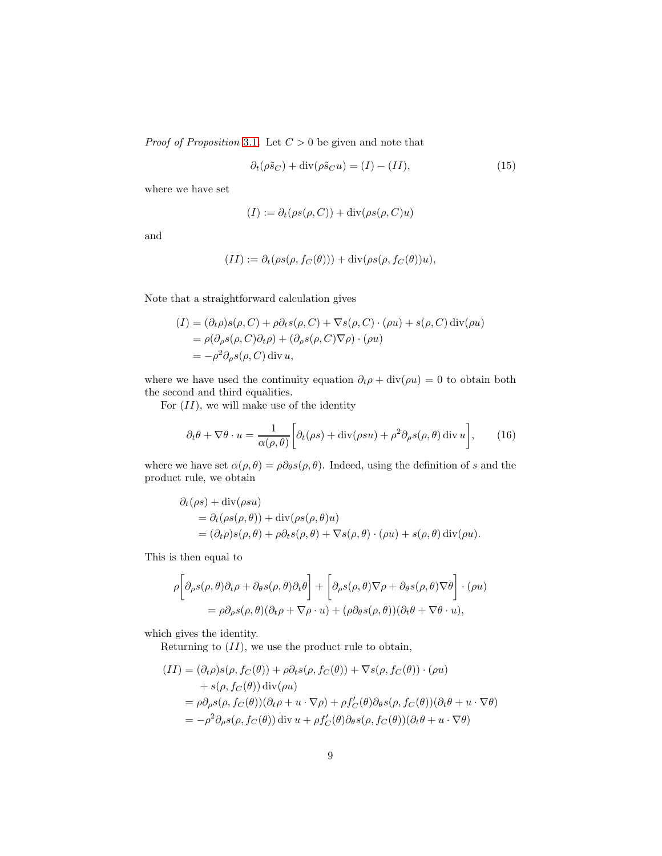*Proof of Proposition* [3](#page-7-2).1. Let  $C > 0$  be given and note that

<span id="page-8-0"></span>
$$
\partial_t(\rho \tilde{s}_C) + \text{div}(\rho \tilde{s}_C u) = (I) - (II),\tag{15}
$$

where we have set

$$
(I) := \partial_t(\rho s(\rho, C)) + \operatorname{div}(\rho s(\rho, C)u)
$$

and

$$
(II) := \partial_t(\rho s(\rho, f_C(\theta))) + \operatorname{div}(\rho s(\rho, f_C(\theta))u),
$$

Note that a straightforward calculation gives

$$
(I) = (\partial_t \rho)s(\rho, C) + \rho \partial_t s(\rho, C) + \nabla s(\rho, C) \cdot (\rho u) + s(\rho, C) \operatorname{div}(\rho u)
$$
  
=  $\rho(\partial_\rho s(\rho, C)\partial_t \rho) + (\partial_\rho s(\rho, C)\nabla \rho) \cdot (\rho u)$   
=  $-\rho^2 \partial_\rho s(\rho, C) \operatorname{div} u$ ,

where we have used the continuity equation  $\partial_t \rho + \text{div}(\rho u) = 0$  to obtain both the second and third equalities.

For  $(II)$ , we will make use of the identity

$$
\partial_t \theta + \nabla \theta \cdot u = \frac{1}{\alpha(\rho, \theta)} \bigg[ \partial_t (\rho s) + \text{div}(\rho s u) + \rho^2 \partial_\rho s(\rho, \theta) \, \text{div} \, u \bigg],\tag{16}
$$

where we have set  $\alpha(\rho, \theta) = \rho \partial_{\theta} s(\rho, \theta)$ . Indeed, using the definition of s and the product rule, we obtain

$$
\partial_t(\rho s) + \text{div}(\rho s u)
$$
  
=  $\partial_t(\rho s(\rho, \theta)) + \text{div}(\rho s(\rho, \theta) u)$   
=  $(\partial_t \rho)s(\rho, \theta) + \rho \partial_t s(\rho, \theta) + \nabla s(\rho, \theta) \cdot (\rho u) + s(\rho, \theta) \text{div}(\rho u).$ 

This is then equal to

$$
\rho \left[ \partial_{\rho} s(\rho,\theta) \partial_{t} \rho + \partial_{\theta} s(\rho,\theta) \partial_{t} \theta \right] + \left[ \partial_{\rho} s(\rho,\theta) \nabla \rho + \partial_{\theta} s(\rho,\theta) \nabla \theta \right] \cdot (\rho u) \n= \rho \partial_{\rho} s(\rho,\theta) (\partial_{t} \rho + \nabla \rho \cdot u) + (\rho \partial_{\theta} s(\rho,\theta)) (\partial_{t} \theta + \nabla \theta \cdot u),
$$

which gives the identity.

Returning to  $(II)$ , we use the product rule to obtain,

$$
(II) = (\partial_t \rho)s(\rho, f_C(\theta)) + \rho \partial_t s(\rho, f_C(\theta)) + \nabla s(\rho, f_C(\theta)) \cdot (\rho u)
$$
  
+  $s(\rho, f_C(\theta)) \operatorname{div}(\rho u)$   
=  $\rho \partial_\rho s(\rho, f_C(\theta)) (\partial_t \rho + u \cdot \nabla \rho) + \rho f'_C(\theta) \partial_\theta s(\rho, f_C(\theta)) (\partial_t \theta + u \cdot \nabla \theta)$   
=  $-\rho^2 \partial_\rho s(\rho, f_C(\theta)) \operatorname{div} u + \rho f'_C(\theta) \partial_\theta s(\rho, f_C(\theta)) (\partial_t \theta + u \cdot \nabla \theta)$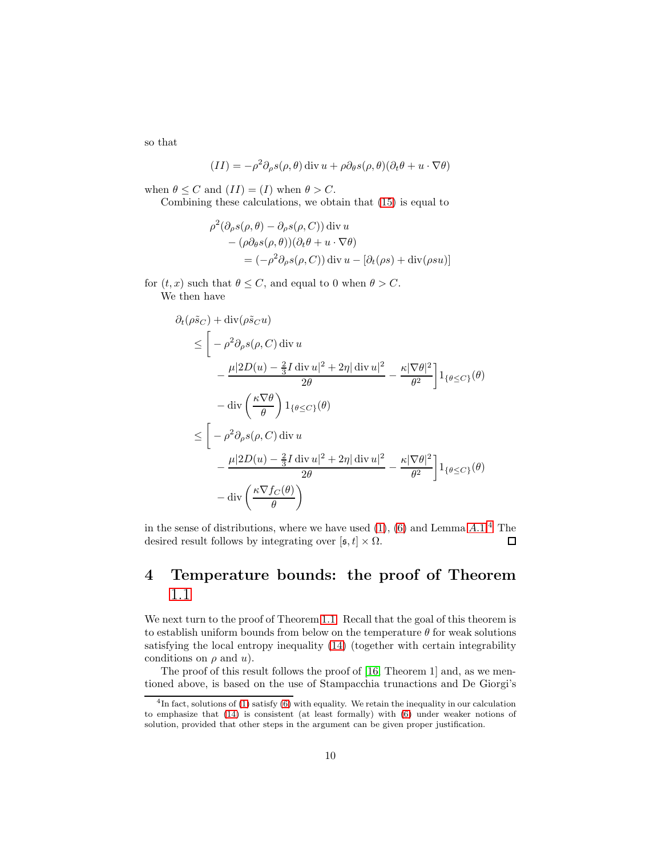so that

$$
(II) = -\rho^2 \partial_{\rho} s(\rho, \theta) \operatorname{div} u + \rho \partial_{\theta} s(\rho, \theta) (\partial_t \theta + u \cdot \nabla \theta)
$$

when  $\theta \leq C$  and  $(II) = (I)$  when  $\theta > C$ .

Combining these calculations, we obtain that [\(15\)](#page-8-0) is equal to

$$
\rho^2(\partial_\rho s(\rho,\theta) - \partial_\rho s(\rho,C)) \operatorname{div} u - (\rho \partial_\theta s(\rho,\theta))(\partial_t \theta + u \cdot \nabla \theta) = (-\rho^2 \partial_\rho s(\rho,C)) \operatorname{div} u - [\partial_t(\rho s) + \operatorname{div}(\rho s u)]
$$

for  $(t, x)$  such that  $\theta \leq C$ , and equal to 0 when  $\theta > C$ . We then have

 $\partial_t(\rho \tilde{s}_C) + \text{div}(\rho \tilde{s}_C u)$ 

$$
\leq \left[ -\rho^2 \partial_{\rho} s(\rho, C) \operatorname{div} u \right]
$$
  
\n
$$
\leq \left[ -\rho^2 \partial_{\rho} s(\rho, C) \operatorname{div} u \right]
$$
  
\n
$$
- \frac{\mu |2D(u) - \frac{2}{3} I \operatorname{div} u|^2 + 2\eta |\operatorname{div} u|^2}{2\theta} - \frac{\kappa |\nabla \theta|^2}{\theta^2} \right] 1_{\{\theta \leq C\}}(\theta)
$$
  
\n
$$
\leq \left[ -\rho^2 \partial_{\rho} s(\rho, C) \operatorname{div} u \right]
$$
  
\n
$$
- \frac{\mu |2D(u) - \frac{2}{3} I \operatorname{div} u|^2 + 2\eta |\operatorname{div} u|^2}{2\theta} - \frac{\kappa |\nabla \theta|^2}{\theta^2} \right] 1_{\{\theta \leq C\}}(\theta)
$$
  
\n
$$
- \operatorname{div} \left( \frac{\kappa \nabla f_C(\theta)}{\theta} \right)
$$

in the sense of distributions, where we have used  $(1)$ ,  $(6)$  and Lemma  $A.1<sup>4</sup>$  $A.1<sup>4</sup>$  $A.1<sup>4</sup>$  $A.1<sup>4</sup>$  The desired result follows by integrating over  $[\mathfrak{s}, t] \times \Omega$ .  $\Box$ 

### 4 Temperature bounds: the proof of Theorem [1](#page-1-0).1

We next turn to the proof of Theorem 1.[1.](#page-1-0) Recall that the goal of this theorem is to establish uniform bounds from below on the temperature  $\theta$  for weak solutions satisfying the local entropy inequality [\(14\)](#page-7-0) (together with certain integrability conditions on  $\rho$  and  $u$ ).

The proof of this result follows the proof of [\[16,](#page-21-0) Theorem 1] and, as we mentioned above, is based on the use of Stampacchia trunactions and De Giorgi's

<span id="page-9-0"></span><sup>&</sup>lt;sup>4</sup>In fact, solutions of [\(1\)](#page-0-0) satisfy [\(6\)](#page-5-0) with equality. We retain the inequality in our calculation to emphasize that [\(14\)](#page-7-0) is consistent (at least formally) with [\(6\)](#page-5-0) under weaker notions of solution, provided that other steps in the argument can be given proper justification.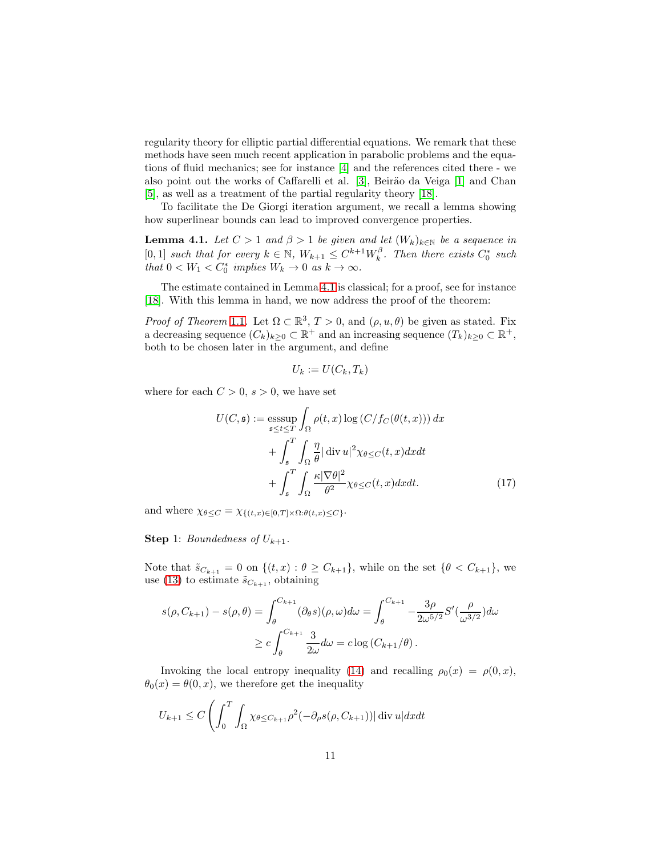regularity theory for elliptic partial differential equations. We remark that these methods have seen much recent application in parabolic problems and the equations of fluid mechanics; see for instance [\[4\]](#page-20-9) and the references cited there - we also point out the works of Caffarelli et al. [\[3\]](#page-20-10), Beiräo da Veiga [\[1\]](#page-20-11) and Chan [\[5\]](#page-20-12), as well as a treatment of the partial regularity theory [\[18\]](#page-21-3).

To facilitate the De Giorgi iteration argument, we recall a lemma showing how superlinear bounds can lead to improved convergence properties.

<span id="page-10-0"></span>**Lemma 4.1.** Let  $C > 1$  and  $\beta > 1$  be given and let  $(W_k)_{k \in \mathbb{N}}$  be a sequence in [0,1] such that for every  $k \in \mathbb{N}$ ,  $W_{k+1} \leq C^{k+1} W_k^{\beta}$ . Then there exists  $C_0^*$  such that  $0 < W_1 < C_0^*$  implies  $W_k \to 0$  as  $k \to \infty$ .

The estimate contained in Lemma [4](#page-10-0).1 is classical; for a proof, see for instance [\[18\]](#page-21-3). With this lemma in hand, we now address the proof of the theorem:

*Proof of Theorem* [1](#page-1-0).1. Let  $\Omega \subset \mathbb{R}^3$ ,  $T > 0$ , and  $(\rho, u, \theta)$  be given as stated. Fix a decreasing sequence  $(C_k)_{k\geq 0} \subset \mathbb{R}^+$  and an increasing sequence  $(T_k)_{k\geq 0} \subset \mathbb{R}^+$ , both to be chosen later in the argument, and define

$$
U_k := U(C_k, T_k)
$$

where for each  $C > 0$ ,  $s > 0$ , we have set

$$
U(C, \mathfrak{s}) := \underset{\mathfrak{s} \le t \le T}{\operatorname{esssup}} \int_{\Omega} \rho(t, x) \log \left( C / f_C(\theta(t, x)) \right) dx
$$

$$
+ \int_{\mathfrak{s}}^{T} \int_{\Omega} \frac{\eta}{\theta} |\operatorname{div} u|^2 \chi_{\theta \le C}(t, x) dx dt
$$

$$
+ \int_{\mathfrak{s}}^{T} \int_{\Omega} \frac{\kappa |\nabla \theta|^2}{\theta^2} \chi_{\theta \le C}(t, x) dx dt. \tag{17}
$$

and where  $\chi_{\theta \leq C} = \chi_{\{(t,x)\in [0,T]\times \Omega: \theta(t,x)\leq C\}}$ .

**Step 1:** Boundedness of  $U_{k+1}$ .

Note that  $\tilde{s}_{C_{k+1}} = 0$  on  $\{(t, x) : \theta \geq C_{k+1}\}\)$ , while on the set  $\{\theta < C_{k+1}\}\$ , we use [\(13\)](#page-7-1) to estimate  $\tilde{s}_{C_{k+1}}$ , obtaining

$$
s(\rho, C_{k+1}) - s(\rho, \theta) = \int_{\theta}^{C_{k+1}} (\partial_{\theta} s)(\rho, \omega) d\omega = \int_{\theta}^{C_{k+1}} -\frac{3\rho}{2\omega^{5/2}} S'(\frac{\rho}{\omega^{3/2}}) d\omega
$$
  

$$
\geq c \int_{\theta}^{C_{k+1}} \frac{3}{2\omega} d\omega = c \log(C_{k+1}/\theta).
$$

Invoking the local entropy inequality [\(14\)](#page-7-0) and recalling  $\rho_0(x) = \rho(0, x)$ ,  $\theta_0(x) = \theta(0, x)$ , we therefore get the inequality

$$
U_{k+1} \le C \left( \int_0^T \int_{\Omega} \chi_{\theta \le C_{k+1}} \rho^2 (-\partial_{\rho} s(\rho, C_{k+1})) |\operatorname{div} u| dx dt \right)
$$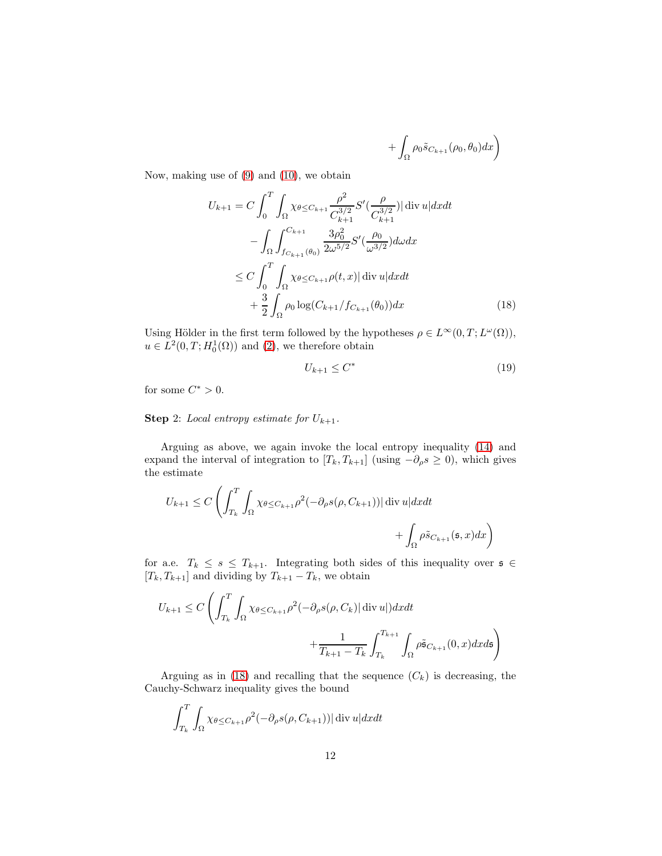<span id="page-11-0"></span>
$$
+\int_{\Omega}\rho_0\tilde{s}_{C_{k+1}}(\rho_0,\theta_0)dx\bigg)
$$

Now, making use of [\(9\)](#page-6-4) and [\(10\)](#page-6-5), we obtain

$$
U_{k+1} = C \int_0^T \int_{\Omega} \chi_{\theta \le C_{k+1}} \frac{\rho^2}{C_{k+1}^{3/2}} S'(\frac{\rho}{C_{k+1}^{3/2}}) |\operatorname{div} u| dx dt - \int_{\Omega} \int_{f_{C_{k+1}}(\theta_0)}^{C_{k+1}} \frac{3\rho_0^2}{2\omega^{5/2}} S'(\frac{\rho_0}{\omega^{3/2}}) d\omega dx \le C \int_0^T \int_{\Omega} \chi_{\theta \le C_{k+1}} \rho(t, x) |\operatorname{div} u| dx dt + \frac{3}{2} \int_{\Omega} \rho_0 \log(C_{k+1}/f_{C_{k+1}}(\theta_0)) dx
$$
 (18)

Using Hölder in the first term followed by the hypotheses  $\rho \in L^{\infty}(0,T; L^{\omega}(\Omega)),$  $u \in L^2(0,T;H_0^1(\Omega))$  and  $(2)$ , we therefore obtain

<span id="page-11-1"></span>
$$
U_{k+1} \le C^* \tag{19}
$$

for some  $C^* > 0$ .

### **Step** 2: Local entropy estimate for  $U_{k+1}$ .

Arguing as above, we again invoke the local entropy inequality [\(14\)](#page-7-0) and expand the interval of integration to  $[T_k, T_{k+1}]$  (using  $-\partial_\rho s \geq 0$ ), which gives the estimate

$$
U_{k+1} \leq C \left( \int_{T_k}^T \int_{\Omega} \chi_{\theta \leq C_{k+1}} \rho^2 (-\partial_{\rho} s(\rho, C_{k+1})) |\operatorname{div} u| dx dt + \int_{\Omega} \rho \tilde{s}_{C_{k+1}}(\mathfrak{s}, x) dx \right)
$$

for a.e.  $T_k \leq s \leq T_{k+1}$ . Integrating both sides of this inequality over  $s \in$  $[T_k, T_{k+1}]$  and dividing by  $T_{k+1} - T_k$ , we obtain

$$
U_{k+1} \le C \left( \int_{T_k}^T \int_{\Omega} \chi_{\theta \le C_{k+1}} \rho^2 (-\partial_{\rho} s(\rho, C_k) | \operatorname{div} u|) dx dt + \frac{1}{T_{k+1} - T_k} \int_{T_k}^{T_{k+1}} \int_{\Omega} \rho \tilde{s}_{C_{k+1}}(0, x) dx ds \right)
$$

Arguing as in [\(18\)](#page-11-0) and recalling that the sequence  $(C_k)$  is decreasing, the Cauchy-Schwarz inequality gives the bound

$$
\int_{T_k}^{T} \int_{\Omega} \chi_{\theta \le C_{k+1}} \rho^2(-\partial_{\rho} s(\rho, C_{k+1})) |\operatorname{div} u| dx dt
$$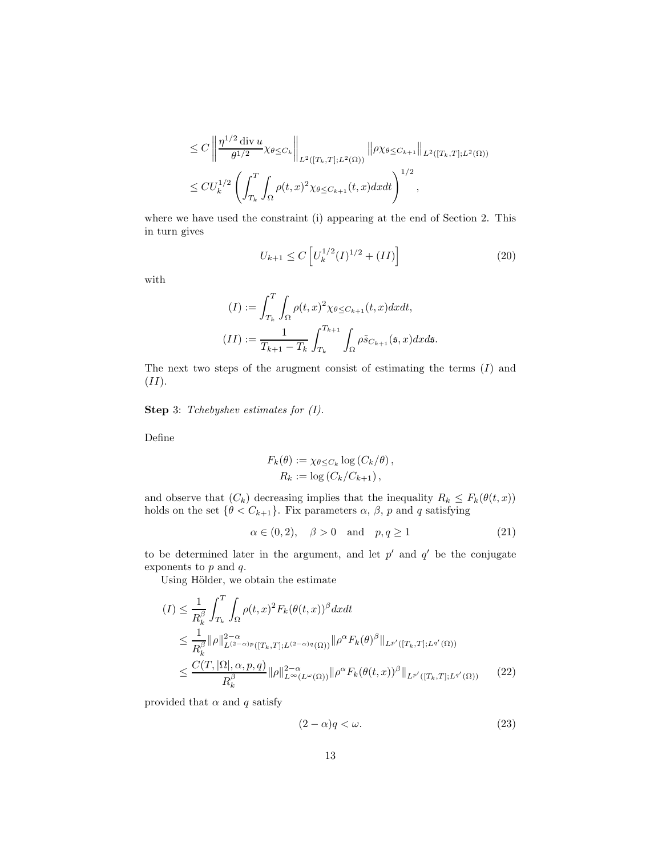$$
\leq C \left\| \frac{\eta^{1/2} \operatorname{div} u}{\theta^{1/2}} \chi_{\theta \leq C_k} \right\|_{L^2([T_k, T]; L^2(\Omega))} \|\rho \chi_{\theta \leq C_{k+1}}\|_{L^2([T_k, T]; L^2(\Omega))}
$$
  

$$
\leq C U_k^{1/2} \left( \int_{T_k}^T \int_{\Omega} \rho(t, x)^2 \chi_{\theta \leq C_{k+1}}(t, x) dx dt \right)^{1/2},
$$

where we have used the constraint (i) appearing at the end of Section 2. This in turn gives

<span id="page-12-1"></span>
$$
U_{k+1} \le C \left[ U_k^{1/2} (I)^{1/2} + (II) \right] \tag{20}
$$

with

$$
(I) := \int_{T_k}^{T} \int_{\Omega} \rho(t, x)^2 \chi_{\theta \le C_{k+1}}(t, x) dx dt,
$$

$$
(II) := \frac{1}{T_{k+1} - T_k} \int_{T_k}^{T_{k+1}} \int_{\Omega} \rho \tilde{s}_{C_{k+1}}(\mathfrak{s}, x) dx d\mathfrak{s}.
$$

The next two steps of the arugment consist of estimating the terms  $(I)$  and  $(II).$ 

Step 3: Tchebyshev estimates for  $(I)$ .

Define

<span id="page-12-2"></span>
$$
F_k(\theta) := \chi_{\theta \leq C_k} \log (C_k/\theta),
$$
  
\n
$$
R_k := \log (C_k/C_{k+1}),
$$

and observe that  $(C_k)$  decreasing implies that the inequality  $R_k \leq F_k(\theta(t,x))$ holds on the set  $\{\theta < C_{k+1}\}.$  Fix parameters  $\alpha$ ,  $\beta$ ,  $p$  and  $q$  satisfying

$$
\alpha \in (0, 2), \quad \beta > 0 \quad \text{and} \quad p, q \ge 1 \tag{21}
$$

to be determined later in the argument, and let  $p'$  and  $q'$  be the conjugate exponents to  $p$  and  $q$ .

Using Hölder, we obtain the estimate

$$
(I) \leq \frac{1}{R_k^{\beta}} \int_{T_k}^{T} \int_{\Omega} \rho(t,x)^2 F_k(\theta(t,x))^{\beta} dx dt
$$
  
\n
$$
\leq \frac{1}{R_k^{\beta}} \|\rho\|_{L^{(2-\alpha)p}([T_k,T];L^{(2-\alpha)q}(\Omega))}^2 \|\rho^{\alpha} F_k(\theta)^{\beta}\|_{L^{p'}([T_k,T];L^{q'}(\Omega))}
$$
  
\n
$$
\leq \frac{C(T,|\Omega|,\alpha,p,q)}{R_k^{\beta}} \|\rho\|_{L^{\infty}(L^{\omega}(\Omega))}^2 \|\rho^{\alpha} F_k(\theta(t,x))^{\beta}\|_{L^{p'}([T_k,T];L^{q'}(\Omega))}
$$
(22)

provided that  $\alpha$  and q satisfy

<span id="page-12-3"></span><span id="page-12-0"></span>
$$
(2 - \alpha)q < \omega. \tag{23}
$$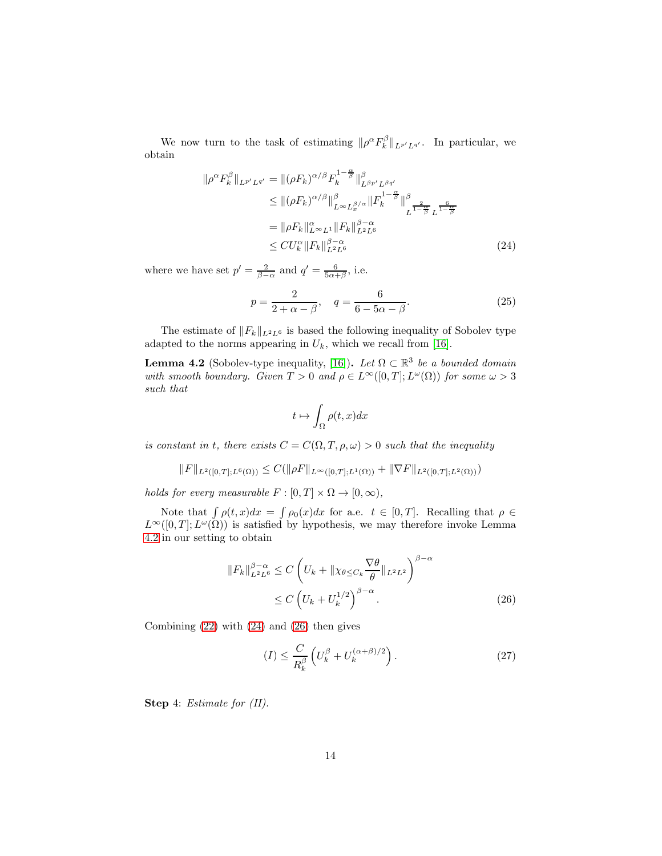We now turn to the task of estimating  $\|\rho^{\alpha} F^{\beta}_k\|_{L^{p'}L^{q'}}$ . In particular, we obtain

$$
\|\rho^{\alpha}F_{k}^{\beta}\|_{L^{p'}L^{q'}} = \|(\rho F_{k})^{\alpha/\beta}F_{k}^{1-\frac{\alpha}{\beta}}\|_{L^{\beta p'}L^{\beta q'}}^{\beta}
$$
  
\n
$$
\leq \|(\rho F_{k})^{\alpha/\beta}\|_{L^{\infty}L_{x}^{\beta/\alpha}}^{\beta}\|F_{k}^{1-\frac{\alpha}{\beta}}\|_{L^{\frac{2}{1-\frac{\alpha}{\beta}}}}^{\beta}
$$
  
\n
$$
= \|\rho F_{k}\|_{L^{\infty}L^{1}}^{\alpha}\|F_{k}\|_{L^{2}L^{6}}^{\beta-\alpha}
$$
  
\n
$$
\leq C U_{k}^{\alpha}\|F_{k}\|_{L^{2}L^{6}}^{\beta-\alpha}
$$
\n(24)

where we have set  $p' = \frac{2}{\beta - \alpha}$  and  $q' = \frac{6}{5\alpha + \beta}$ , i.e.

<span id="page-13-1"></span>
$$
p = \frac{2}{2 + \alpha - \beta}, \quad q = \frac{6}{6 - 5\alpha - \beta}.
$$
\n(25)

The estimate of  $||F_k||_{L^2L^6}$  is based the following inequality of Sobolev type adapted to the norms appearing in  $U_k$ , which we recall from [\[16\]](#page-21-0).

<span id="page-13-0"></span>**Lemma 4.2** (Sobolev-type inequality, [\[16\]](#page-21-0)). Let  $\Omega \subset \mathbb{R}^3$  be a bounded domain with smooth boundary. Given  $T > 0$  and  $\rho \in L^{\infty}([0, T]; L^{\omega}(\Omega))$  for some  $\omega > 3$ such that

<span id="page-13-4"></span>
$$
t \mapsto \int_{\Omega} \rho(t, x) dx
$$

is constant in t, there exists  $C = C(\Omega, T, \rho, \omega) > 0$  such that the inequality

$$
||F||_{L^{2}([0,T];L^{6}(\Omega))} \leq C(||\rho F||_{L^{\infty}([0,T];L^{1}(\Omega))} + ||\nabla F||_{L^{2}([0,T];L^{2}(\Omega))})
$$

holds for every measurable  $F : [0, T] \times \Omega \rightarrow [0, \infty)$ ,

Note that  $\int \rho(t, x)dx = \int \rho_0(x)dx$  for a.e.  $t \in [0, T]$ . Recalling that  $\rho \in$  $L^{\infty}([0,T]; L^{\omega}(\Omega))$  is satisfied by hypothesis, we may therefore invoke Lemma 4.[2](#page-13-0) in our setting to obtain

$$
||F_k||_{L^2L^6}^{\beta-\alpha} \le C \left( U_k + ||\chi_{\theta \le C_k} \frac{\nabla \theta}{\theta}||_{L^2L^2} \right)^{\beta-\alpha}
$$
  
 
$$
\le C \left( U_k + U_k^{1/2} \right)^{\beta-\alpha}.
$$
 (26)

Combining [\(22\)](#page-12-0) with [\(24\)](#page-13-1) and [\(26\)](#page-13-2) then gives

<span id="page-13-3"></span><span id="page-13-2"></span>
$$
(I) \leq \frac{C}{R_k^{\beta}} \left( U_k^{\beta} + U_k^{(\alpha+\beta)/2} \right). \tag{27}
$$

Step 4: Estimate for  $(II)$ .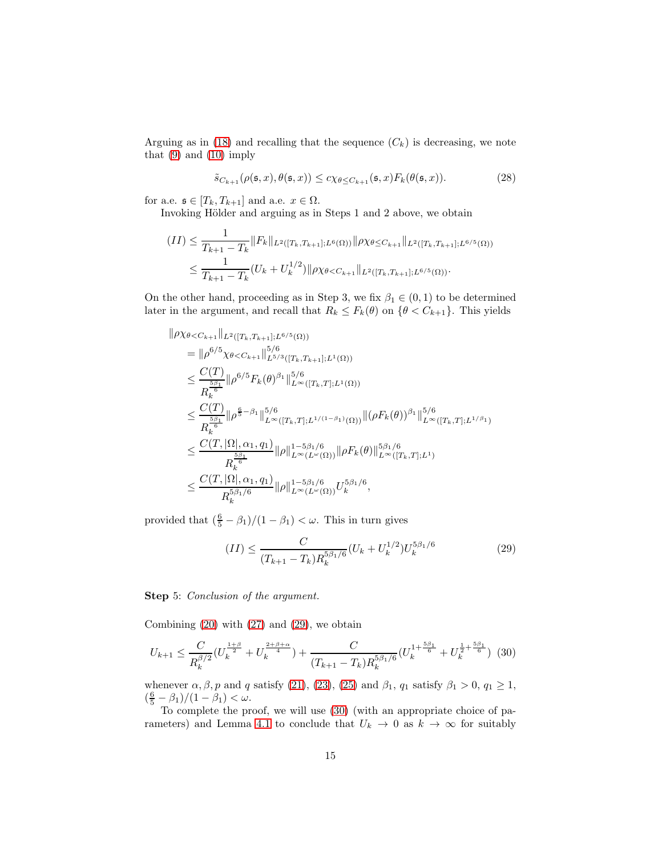Arguing as in [\(18\)](#page-11-0) and recalling that the sequence  $(C_k)$  is decreasing, we note that  $(9)$  and  $(10)$  imply

$$
\tilde{s}_{C_{k+1}}(\rho(\mathfrak{s},x),\theta(\mathfrak{s},x)) \leq c\chi_{\theta \leq C_{k+1}}(\mathfrak{s},x)F_k(\theta(\mathfrak{s},x)).\tag{28}
$$

for a.e.  $\mathfrak{s} \in [T_k, T_{k+1}]$  and a.e.  $x \in \Omega$ .

Invoking Hölder and arguing as in Steps 1 and 2 above, we obtain

$$
(II) \leq \frac{1}{T_{k+1} - T_k} \|F_k\|_{L^2([T_k, T_{k+1}]; L^6(\Omega))} \|\rho \chi_{\theta \leq C_{k+1}}\|_{L^2([T_k, T_{k+1}]; L^{6/5}(\Omega))}
$$
  

$$
\leq \frac{1}{T_{k+1} - T_k} (U_k + U_k^{1/2}) \|\rho \chi_{\theta < C_{k+1}}\|_{L^2([T_k, T_{k+1}]; L^{6/5}(\Omega))}.
$$

On the other hand, proceeding as in Step 3, we fix  $\beta_1 \in (0,1)$  to be determined later in the argument, and recall that  $R_k \leq F_k(\theta)$  on  $\{\theta < C_{k+1}\}$ . This yields

$$
\|\rho \chi_{\theta < C_{k+1}}\|_{L^{2}([T_{k}, T_{k+1}]; L^{6/5}(\Omega))}
$$
\n
$$
= \|\rho^{6/5} \chi_{\theta < C_{k+1}}\|_{L^{5/3}([T_{k}, T_{k+1}]; L^{1}(\Omega))}
$$
\n
$$
\leq \frac{C(T)}{R_{k}^{\frac{5\beta_{1}}{6}}}\|\rho^{6/5}F_{k}(\theta)^{\beta_{1}}\|_{L^{\infty}([T_{k}, T]; L^{1}(\Omega))}^{5/6}
$$
\n
$$
\leq \frac{C(T)}{R_{k}^{\frac{5\beta_{1}}{6}}}\|\rho^{\frac{6}{5}-\beta_{1}}\|_{L^{\infty}([T_{k}, T]; L^{1/(1-\beta_{1})}(\Omega))}^{5/6}\|(\rho F_{k}(\theta))^{\beta_{1}}\|_{L^{\infty}([T_{k}, T]; L^{1/\beta_{1}})}^{5/6}
$$
\n
$$
\leq \frac{C(T, |\Omega|, \alpha_{1}, q_{1})}{R_{k}^{\frac{5\beta_{1}}{6}}}\|\rho\|_{L^{\infty}(L^{\omega}(\Omega))}^{1-5\beta_{1}/6}\|\rho F_{k}(\theta)\|_{L^{\infty}([T_{k}, T]; L^{1})}^{5\beta_{1}/6}
$$
\n
$$
\leq \frac{C(T, |\Omega|, \alpha_{1}, q_{1})}{R_{k}^{\frac{5\beta_{1}}{6}}}\|\rho\|_{L^{\infty}(L^{\omega}(\Omega))}^{1-5\beta_{1}/6}U_{k}^{5\beta_{1}/6},
$$

provided that  $(\frac{6}{5} - \beta_1)/(1 - \beta_1) < \omega$ . This in turn gives

<span id="page-14-1"></span><span id="page-14-0"></span>
$$
(II) \leq \frac{C}{(T_{k+1} - T_k)R_k^{5\beta_1/6}} (U_k + U_k^{1/2}) U_k^{5\beta_1/6}
$$
\n
$$
(29)
$$

Step 5: *Conclusion of the argument*.

Combining  $(20)$  with  $(27)$  and  $(29)$ , we obtain

$$
U_{k+1} \leq \frac{C}{R_k^{\beta/2}} \left(U_k^{\frac{1+\beta}{2}} + U_k^{\frac{2+\beta+\alpha}{4}}\right) + \frac{C}{(T_{k+1} - T_k)R_k^{5\beta_1/6}} \left(U_k^{1+\frac{5\beta_1}{6}} + U_k^{\frac{1}{2}+\frac{5\beta_1}{6}}\right) \tag{30}
$$

whenever  $\alpha, \beta, p$  and q satisfy [\(21\)](#page-12-2), [\(23\)](#page-12-3), [\(25\)](#page-13-4) and  $\beta_1$ ,  $q_1$  satisfy  $\beta_1 > 0$ ,  $q_1 \ge 1$ ,  $(\frac{6}{5} - \beta_1)/(1 - \beta_1) < \omega.$ 

To complete the proof, we will use [\(30\)](#page-14-1) (with an appropriate choice of pa-rameters) and Lemma [4](#page-10-0).1 to conclude that  $U_k \to 0$  as  $k \to \infty$  for suitably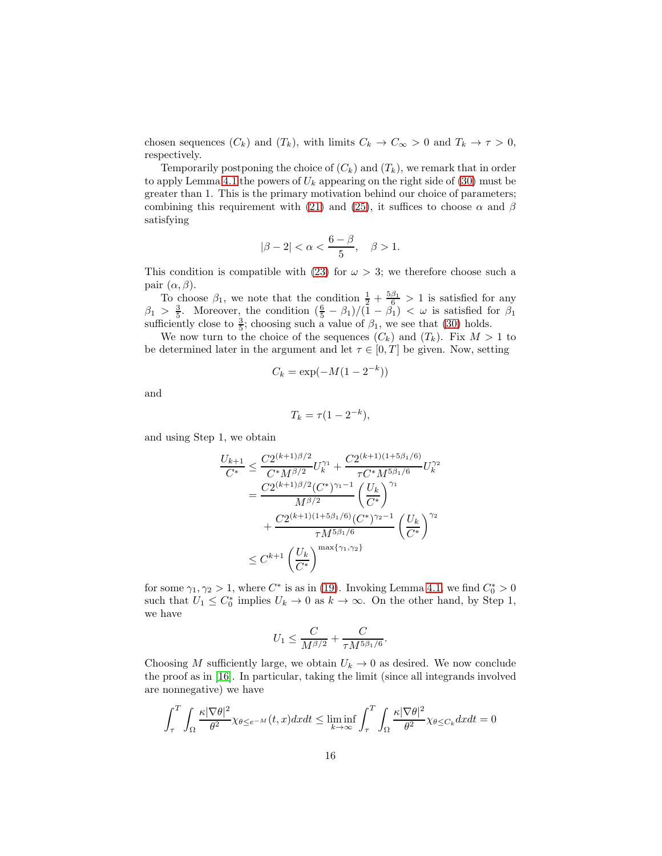chosen sequences  $(C_k)$  and  $(T_k)$ , with limits  $C_k \to C_\infty > 0$  and  $T_k \to \tau > 0$ , respectively.

Temporarily postponing the choice of  $(C_k)$  and  $(T_k)$ , we remark that in order to apply Lemma 4.[1](#page-10-0) the powers of  $U_k$  appearing on the right side of [\(30\)](#page-14-1) must be greater than 1. This is the primary motivation behind our choice of parameters; combining this requirement with [\(21\)](#page-12-2) and [\(25\)](#page-13-4), it suffices to choose  $\alpha$  and  $\beta$ satisfying

$$
|\beta - 2| < \alpha < \frac{6 - \beta}{5}, \quad \beta > 1.
$$

This condition is compatible with [\(23\)](#page-12-3) for  $\omega > 3$ ; we therefore choose such a pair  $(\alpha, \beta)$ .

To choose  $\beta_1$ , we note that the condition  $\frac{1}{2} + \frac{5\beta_1}{6} > 1$  is satisfied for any  $\beta_1 > \frac{3}{5}$ . Moreover, the condition  $(\frac{6}{5} - \beta_1)/(\overline{1} - \beta_1) < \omega$  is satisfied for  $\beta_1$ sufficiently close to  $\frac{3}{5}$ ; choosing such a value of  $\beta_1$ , we see that [\(30\)](#page-14-1) holds.

We now turn to the choice of the sequences  $(C_k)$  and  $(T_k)$ . Fix  $M > 1$  to be determined later in the argument and let  $\tau \in [0, T]$  be given. Now, setting

$$
C_k = \exp(-M(1-2^{-k}))
$$

and

$$
T_k = \tau (1 - 2^{-k}),
$$

and using Step 1, we obtain

$$
\frac{U_{k+1}}{C^*} \leq \frac{C2^{(k+1)\beta/2}}{C^*M^{\beta/2}} U_k^{\gamma_1} + \frac{C2^{(k+1)(1+5\beta_1/6)}}{\tau C^*M^{5\beta_1/6}} U_k^{\gamma_2}
$$
\n
$$
= \frac{C2^{(k+1)\beta/2}(C^*)^{\gamma_1-1}}{M^{\beta/2}} \left(\frac{U_k}{C^*}\right)^{\gamma_1}
$$
\n
$$
+ \frac{C2^{(k+1)(1+5\beta_1/6)}(C^*)^{\gamma_2-1}}{\tau M^{5\beta_1/6}} \left(\frac{U_k}{C^*}\right)^{\gamma_2}
$$
\n
$$
\leq C^{k+1} \left(\frac{U_k}{C^*}\right)^{\max\{\gamma_1,\gamma_2\}}
$$

for some  $\gamma_1, \gamma_2 > 1$ , where  $C^*$  is as in [\(19\)](#page-11-1). Invoking Lemma [4](#page-10-0).1, we find  $C_0^* > 0$ such that  $U_1 \leq C_0^*$  implies  $U_k \to 0$  as  $k \to \infty$ . On the other hand, by Step 1, we have

$$
U_1 \le \frac{C}{M^{\beta/2}} + \frac{C}{\tau M^{5\beta_1/6}}.
$$

Choosing M sufficiently large, we obtain  $U_k \to 0$  as desired. We now conclude the proof as in [\[16\]](#page-21-0). In particular, taking the limit (since all integrands involved are nonnegative) we have

$$
\int_{\tau}^{T} \int_{\Omega} \frac{\kappa |\nabla \theta|^{2}}{\theta^{2}} \chi_{\theta \leq e^{-M}}(t, x) dx dt \leq \liminf_{k \to \infty} \int_{\tau}^{T} \int_{\Omega} \frac{\kappa |\nabla \theta|^{2}}{\theta^{2}} \chi_{\theta \leq C_{k}} dx dt = 0
$$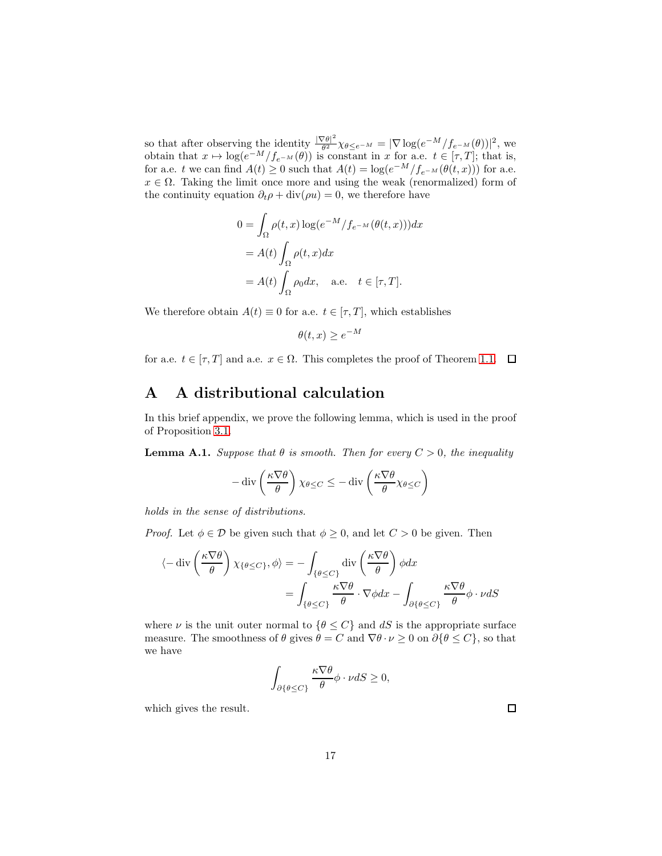so that after observing the identity  $\frac{|\nabla\theta|^2}{\theta^2}$  $\frac{\partial \theta|^2}{\partial^2} \chi_{\theta \leq e^{-M}} = |\nabla \log(e^{-M}/f_{e^{-M}}(\theta))|^2$ , we obtain that  $x \mapsto \log(e^{-M} / f_{e^{-M}}(\theta))$  is constant in x for a.e.  $t \in [\tau, T]$ ; that is, for a.e. t we can find  $A(t) \ge 0$  such that  $A(t) = \log(e^{-M}/f_{e^{-M}}(\theta(t,x)))$  for a.e.  $x \in \Omega$ . Taking the limit once more and using the weak (renormalized) form of the continuity equation  $\partial_t \rho + \text{div}(\rho u) = 0$ , we therefore have

$$
0 = \int_{\Omega} \rho(t, x) \log(e^{-M} / f_{e^{-M}}(\theta(t, x))) dx
$$
  
=  $A(t) \int_{\Omega} \rho(t, x) dx$   
=  $A(t) \int_{\Omega} \rho_0 dx$ , a.e.  $t \in [\tau, T].$ 

We therefore obtain  $A(t) \equiv 0$  for a.e.  $t \in [\tau, T]$ , which establishes

$$
\theta(t, x) \ge e^{-M}
$$

for a.e.  $t \in [\tau, T]$  and a.e.  $x \in \Omega$ . This completes the proof of Theorem [1](#page-1-0).1.  $\Box$ 

### A A distributional calculation

In this brief appendix, we prove the following lemma, which is used in the proof of Proposition [3](#page-7-2).1.

<span id="page-16-0"></span>**Lemma A.1.** Suppose that  $\theta$  is smooth. Then for every  $C > 0$ , the inequality

$$
-\operatorname{div}\left(\frac{\kappa\nabla\theta}{\theta}\right)\chi_{\theta\leq C}\leq -\operatorname{div}\left(\frac{\kappa\nabla\theta}{\theta}\chi_{\theta\leq C}\right)
$$

holds in the sense of distributions.

*Proof.* Let  $\phi \in \mathcal{D}$  be given such that  $\phi \geq 0$ , and let  $C > 0$  be given. Then

$$
\langle -\operatorname{div}\left(\frac{\kappa\nabla\theta}{\theta}\right)\chi_{\{\theta\leq C\}},\phi\rangle = -\int_{\{\theta\leq C\}}\operatorname{div}\left(\frac{\kappa\nabla\theta}{\theta}\right)\phi dx
$$

$$
=\int_{\{\theta\leq C\}}\frac{\kappa\nabla\theta}{\theta}\cdot\nabla\phi dx - \int_{\partial\{\theta\leq C\}}\frac{\kappa\nabla\theta}{\theta}\phi\cdot\nu dS
$$

where  $\nu$  is the unit outer normal to  $\{\theta \leq C\}$  and  $dS$  is the appropriate surface measure. The smoothness of  $\theta$  gives  $\theta = C$  and  $\nabla \theta \cdot \nu \ge 0$  on  $\partial {\theta \le C}$ , so that we have

$$
\int_{\partial\{\theta \le C\}} \frac{\kappa \nabla \theta}{\theta} \phi \cdot \nu dS \ge 0,
$$

which gives the result.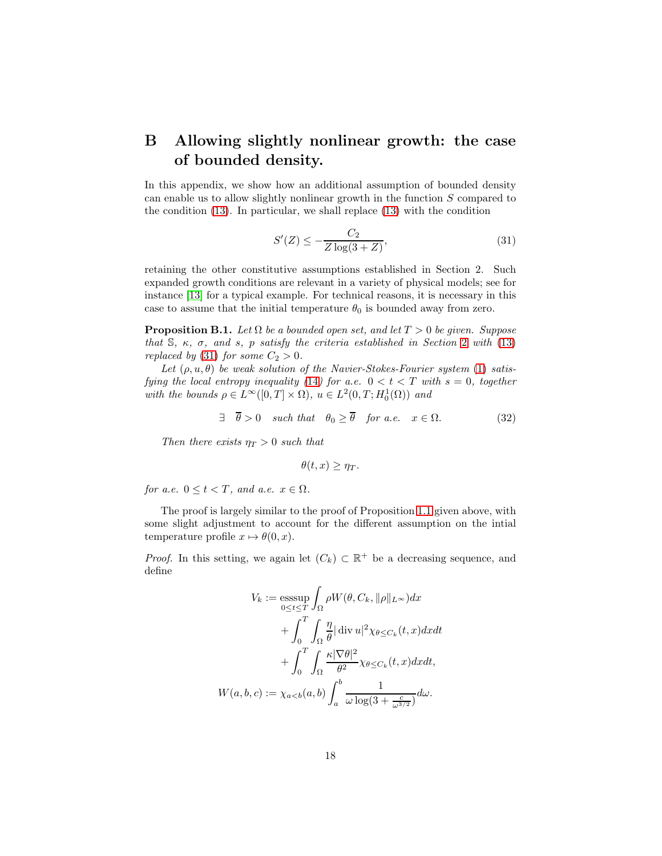## B Allowing slightly nonlinear growth: the case of bounded density.

In this appendix, we show how an additional assumption of bounded density can enable us to allow slightly nonlinear growth in the function S compared to the condition [\(13\)](#page-7-1). In particular, we shall replace [\(13\)](#page-7-1) with the condition

<span id="page-17-0"></span>
$$
S'(Z) \le -\frac{C_2}{Z \log(3+Z)},
$$
\n(31)

retaining the other constitutive assumptions established in Section 2. Such expanded growth conditions are relevant in a variety of physical models; see for instance [\[13\]](#page-20-7) for a typical example. For technical reasons, it is necessary in this case to assume that the initial temperature  $\theta_0$  is bounded away from zero.

<span id="page-17-2"></span>**Proposition B.1.** Let  $\Omega$  be a bounded open set, and let  $T > 0$  be given. Suppose that  $\mathbb{S}$ ,  $\kappa$ ,  $\sigma$ , and  $s$ ,  $p$  satisfy the criteria established in Section [2](#page-5-1) with [\(13\)](#page-7-1) replaced by [\(31\)](#page-17-0) for some  $C_2 > 0$ .

Let  $(\rho, u, \theta)$  be weak solution of the Navier-Stokes-Fourier system [\(1\)](#page-0-0) satis-fying the local entropy inequality ([14](#page-7-0)) for a.e.  $0 < t < T$  with  $s = 0$ , together with the bounds  $\rho \in L^{\infty}([0,T] \times \Omega)$ ,  $u \in L^{2}(0,T; H_{0}^{1}(\Omega))$  and

$$
\exists \quad \overline{\theta} > 0 \quad such \; that \quad \theta_0 \ge \overline{\theta} \quad for \; a.e. \quad x \in \Omega. \tag{32}
$$

Then there exists  $\eta_T > 0$  such that

<span id="page-17-1"></span>
$$
\theta(t,x)\geq \eta_T.
$$

for a.e.  $0 \le t < T$ , and a.e.  $x \in \Omega$ .

The proof is largely similar to the proof of Proposition [1](#page-1-0).1 given above, with some slight adjustment to account for the different assumption on the intial temperature profile  $x \mapsto \theta(0, x)$ .

*Proof.* In this setting, we again let  $(C_k) \subset \mathbb{R}^+$  be a decreasing sequence, and define

$$
V_k := \operatorname{ess}\underset{0 \le t \le T}{\operatorname{ess}\underset{0 \le t \le T}{\operatorname{max}}} \int_{\Omega} \rho W(\theta, C_k, \|\rho\|_{L^{\infty}}) dx
$$
  
+ 
$$
\int_{0}^{T} \int_{\Omega} \frac{\eta}{\theta} |\operatorname{div} u|^2 \chi_{\theta \le C_k}(t, x) dx dt
$$
  
+ 
$$
\int_{0}^{T} \int_{\Omega} \frac{\kappa |\nabla \theta|^2}{\theta^2} \chi_{\theta \le C_k}(t, x) dx dt,
$$
  

$$
W(a, b, c) := \chi_{a < b}(a, b) \int_{a}^{b} \frac{1}{\omega \log(3 + \frac{c}{\omega^{3/2}})} d\omega.
$$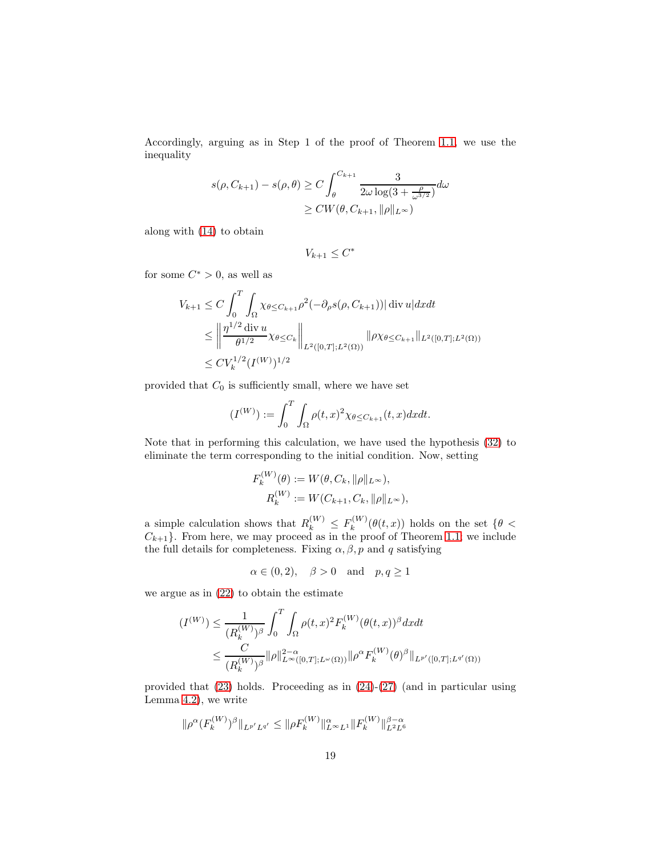Accordingly, arguing as in Step 1 of the proof of Theorem [1](#page-1-0).1, we use the inequality

$$
s(\rho, C_{k+1}) - s(\rho, \theta) \ge C \int_{\theta}^{C_{k+1}} \frac{3}{2\omega \log(3 + \frac{\rho}{\omega^{3/2}})} d\omega
$$
  
 
$$
\ge CW(\theta, C_{k+1}, ||\rho||_{L^{\infty}})
$$

along with [\(14\)](#page-7-0) to obtain

$$
V_{k+1} \leq C^*
$$

for some  $C^* > 0$ , as well as

$$
V_{k+1} \leq C \int_0^T \int_{\Omega} \chi_{\theta \leq C_{k+1}} \rho^2(-\partial_{\rho} s(\rho, C_{k+1})) |\operatorname{div} u| dx dt
$$
  
\n
$$
\leq \left\| \frac{\eta^{1/2} \operatorname{div} u}{\theta^{1/2}} \chi_{\theta \leq C_k} \right\|_{L^2([0,T];L^2(\Omega))} \|\rho \chi_{\theta \leq C_{k+1}} \|_{L^2([0,T];L^2(\Omega))}
$$
  
\n
$$
\leq C V_k^{1/2} (I^{(W)})^{1/2}
$$

provided that  $C_0$  is sufficiently small, where we have set

$$
(I^{(W)}) := \int_0^T \int_{\Omega} \rho(t,x)^2 \chi_{\theta \le C_{k+1}}(t,x) dx dt.
$$

Note that in performing this calculation, we have used the hypothesis [\(32\)](#page-17-1) to eliminate the term corresponding to the initial condition. Now, setting

$$
F_k^{(W)}(\theta) := W(\theta, C_k, \|\rho\|_{L^{\infty}}),
$$
  

$$
R_k^{(W)} := W(C_{k+1}, C_k, \|\rho\|_{L^{\infty}}),
$$

a simple calculation shows that  $R_k^{(W)} \leq F_k^{(W)}$  $\int_k^{(W)} (\theta(t,x))$  holds on the set  $\{\theta \leq$  $C_{k+1}$ . From here, we may proceed as in the proof of Theorem 1.[1;](#page-1-0) we include the full details for completeness. Fixing  $\alpha$ ,  $\beta$ ,  $p$  and  $q$  satisfying

$$
\alpha \in (0,2), \quad \beta > 0 \quad \text{and} \quad p, q \ge 1
$$

we argue as in [\(22\)](#page-12-0) to obtain the estimate

$$
(I^{(W)}) \leq \frac{1}{(R_k^{(W)})^{\beta}} \int_0^T \int_{\Omega} \rho(t,x)^2 F_k^{(W)}(\theta(t,x))^{\beta} dx dt
$$
  

$$
\leq \frac{C}{(R_k^{(W)})^{\beta}} ||\rho||_{L^{\infty}([0,T];L^{\infty}(\Omega))}^2 ||\rho^{\alpha} F_k^{(W)}(\theta)^{\beta}||_{L^{p'}([0,T];L^{q'}(\Omega))}
$$

provided that [\(23\)](#page-12-3) holds. Proceeding as in [\(24\)](#page-13-1)-[\(27\)](#page-13-3) (and in particular using Lemma [4](#page-13-0).2), we write

$$
\|\rho^{\alpha}(F_k^{(W)})^{\beta}\|_{L^{p'}L^{q'}}\le\|\rho F_k^{(W)}\|_{L^{\infty}L^1}^{\alpha}\|F_k^{(W)}\|_{L^2L^6}^{\beta-\alpha}
$$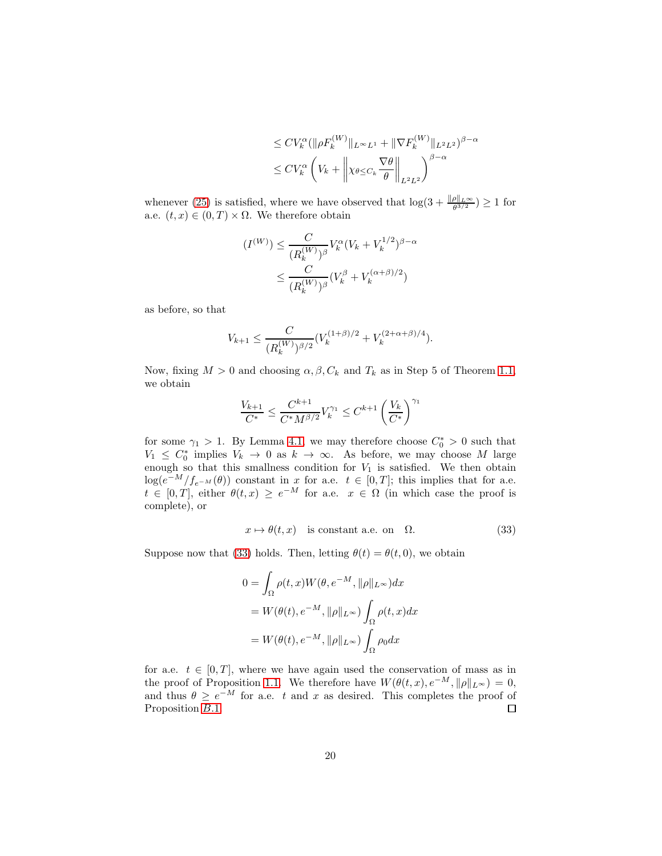$$
\leq CV_k^{\alpha}(\|\rho F_k^{(W)}\|_{L^{\infty}L^1} + \|\nabla F_k^{(W)}\|_{L^2L^2})^{\beta-\alpha}
$$
  

$$
\leq CV_k^{\alpha} \left(V_k + \left\|\chi_{\theta \leq C_k} \frac{\nabla \theta}{\theta}\right\|_{L^2L^2}\right)^{\beta-\alpha}
$$

whenever [\(25\)](#page-13-4) is satisfied, where we have observed that  $\log(3 + \frac{\|\rho\|_{L^{\infty}}}{\theta^{3/2}}) \ge 1$  for a.e.  $(t, x) \in (0, T) \times \Omega$ . We therefore obtain

$$
(I^{(W)}) \leq \frac{C}{(R_k^{(W)})^{\beta}} V_k^{\alpha} (V_k + V_k^{1/2})^{\beta - \alpha}
$$
  

$$
\leq \frac{C}{(R_k^{(W)})^{\beta}} (V_k^{\beta} + V_k^{(\alpha + \beta)/2})
$$

as before, so that

$$
V_{k+1} \leq \frac{C}{(R_k^{(W)})^{\beta/2}} (V_k^{(1+\beta)/2} + V_k^{(2+\alpha+\beta)/4}).
$$

Now, fixing  $M > 0$  and choosing  $\alpha, \beta, C_k$  and  $T_k$  as in Step 5 of Theorem 1.[1,](#page-1-0) we obtain

$$
\frac{V_{k+1}}{C^*} \leq \frac{C^{k+1}}{C^*M^{\beta/2}} V_k^{\gamma_1} \leq C^{k+1} \left(\frac{V_k}{C^*}\right)^{\gamma_1}
$$

for some  $\gamma_1 > 1$ . By Lemma [4](#page-10-0).1, we may therefore choose  $C_0^* > 0$  such that  $V_1 \leq C_0^*$  implies  $V_k \to 0$  as  $k \to \infty$ . As before, we may choose M large enough so that this smallness condition for  $V_1$  is satisfied. We then obtain  $log(e^{-M}/f_{e^{-M}}(\theta))$  constant in x for a.e.  $t \in [0,T]$ ; this implies that for a.e.  $t \in [0,T]$ , either  $\theta(t,x) \geq e^{-M}$  for a.e.  $x \in \Omega$  (in which case the proof is complete), or

<span id="page-19-0"></span>
$$
x \mapsto \theta(t, x) \quad \text{is constant a.e. on} \quad \Omega. \tag{33}
$$

Suppose now that [\(33\)](#page-19-0) holds. Then, letting  $\theta(t) = \theta(t, 0)$ , we obtain

$$
0 = \int_{\Omega} \rho(t, x) W(\theta, e^{-M}, ||\rho||_{L^{\infty}}) dx
$$
  
=  $W(\theta(t), e^{-M}, ||\rho||_{L^{\infty}}) \int_{\Omega} \rho(t, x) dx$   
=  $W(\theta(t), e^{-M}, ||\rho||_{L^{\infty}}) \int_{\Omega} \rho_0 dx$ 

for a.e.  $t \in [0, T]$ , where we have again used the conservation of mass as in the proof of Proposition [1](#page-1-0).1. We therefore have  $W(\theta(t, x), e^{-M}, ||\rho||_{L^{\infty}}) = 0$ , and thus  $\theta \geq e^{-M}$  for a.e. t and x as desired. This completes the proof of Proposition [B.](#page-17-2)1.  $\Box$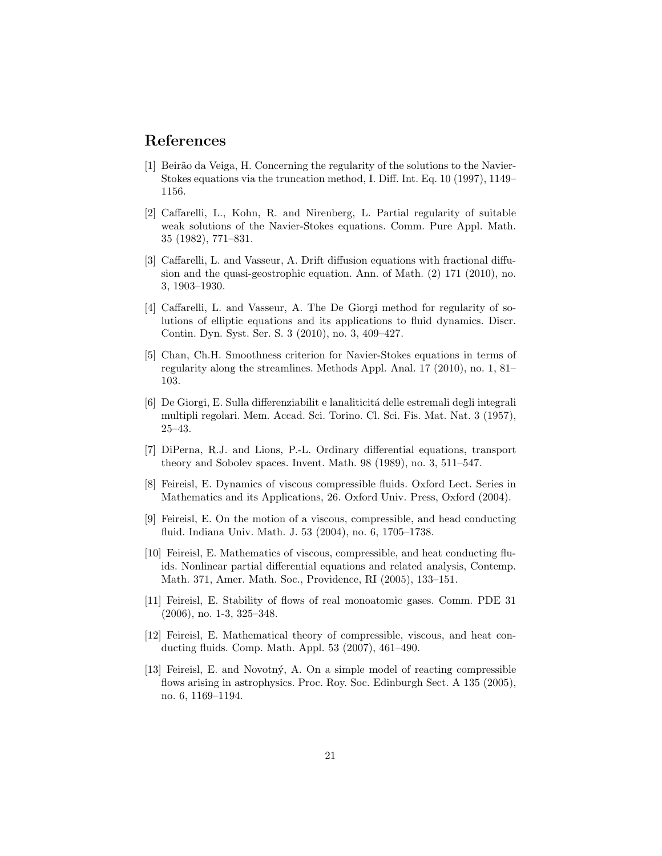### <span id="page-20-11"></span>References

- [1] Beirão da Veiga, H. Concerning the regularity of the solutions to the Navier-Stokes equations via the truncation method, I. Diff. Int. Eq. 10 (1997), 1149– 1156.
- <span id="page-20-2"></span>[2] Caffarelli, L., Kohn, R. and Nirenberg, L. Partial regularity of suitable weak solutions of the Navier-Stokes equations. Comm. Pure Appl. Math. 35 (1982), 771–831.
- <span id="page-20-10"></span>[3] Caffarelli, L. and Vasseur, A. Drift diffusion equations with fractional diffusion and the quasi-geostrophic equation. Ann. of Math. (2) 171 (2010), no. 3, 1903–1930.
- <span id="page-20-9"></span>[4] Caffarelli, L. and Vasseur, A. The De Giorgi method for regularity of solutions of elliptic equations and its applications to fluid dynamics. Discr. Contin. Dyn. Syst. Ser. S. 3 (2010), no. 3, 409–427.
- <span id="page-20-12"></span>[5] Chan, Ch.H. Smoothness criterion for Navier-Stokes equations in terms of regularity along the streamlines. Methods Appl. Anal. 17 (2010), no. 1, 81– 103.
- <span id="page-20-0"></span>[6] De Giorgi, E. Sulla differenziabilit e lanaliticit´a delle estremali degli integrali multipli regolari. Mem. Accad. Sci. Torino. Cl. Sci. Fis. Mat. Nat. 3 (1957), 25–43.
- <span id="page-20-8"></span>[7] DiPerna, R.J. and Lions, P.-L. Ordinary differential equations, transport theory and Sobolev spaces. Invent. Math. 98 (1989), no. 3, 511–547.
- <span id="page-20-3"></span>[8] Feireisl, E. Dynamics of viscous compressible fluids. Oxford Lect. Series in Mathematics and its Applications, 26. Oxford Univ. Press, Oxford (2004).
- <span id="page-20-4"></span>[9] Feireisl, E. On the motion of a viscous, compressible, and head conducting fluid. Indiana Univ. Math. J. 53 (2004), no. 6, 1705–1738.
- <span id="page-20-5"></span>[10] Feireisl, E. Mathematics of viscous, compressible, and heat conducting fluids. Nonlinear partial differential equations and related analysis, Contemp. Math. 371, Amer. Math. Soc., Providence, RI (2005), 133–151.
- <span id="page-20-6"></span>[11] Feireisl, E. Stability of flows of real monoatomic gases. Comm. PDE 31 (2006), no. 1-3, 325–348.
- <span id="page-20-1"></span>[12] Feireisl, E. Mathematical theory of compressible, viscous, and heat conducting fluids. Comp. Math. Appl. 53 (2007), 461–490.
- <span id="page-20-7"></span>[13] Feireisl, E. and Novotn´y, A. On a simple model of reacting compressible flows arising in astrophysics. Proc. Roy. Soc. Edinburgh Sect. A 135 (2005), no. 6, 1169–1194.